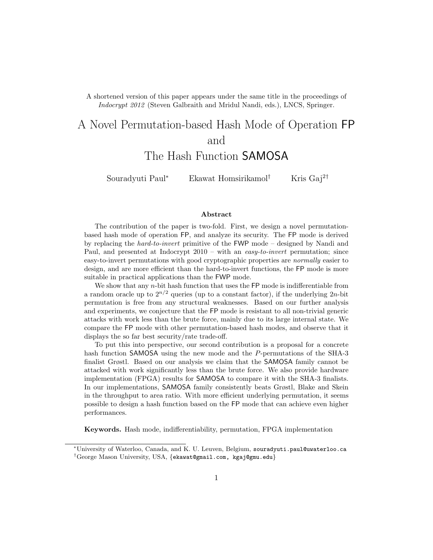A shortened version of this paper appears under the same title in the proceedings of *Indocrypt 2012* (Steven Galbraith and Mridul Nandi, eds.), LNCS, Springer.

# A Novel Permutation-based Hash Mode of Operation FP and The Hash Function SAMOSA

Souradyuti Paul*<sup>∗</sup>* Ekawat Homsirikamol*†* Kris Gaj<sup>2</sup>*†*

#### **Abstract**

The contribution of the paper is two-fold. First, we design a novel permutationbased hash mode of operation FP, and analyze its security. The FP mode is derived by replacing the *hard-to-invert* primitive of the FWP mode – designed by Nandi and Paul, and presented at Indocrypt 2010 – with an *easy-to-invert* permutation; since easy-to-invert permutations with good cryptographic properties are *normally* easier to design, and are more efficient than the hard-to-invert functions, the FP mode is more suitable in practical applications than the FWP mode.

We show that any *n*-bit hash function that uses the FP mode is indifferentiable from a random oracle up to  $2^{n/2}$  queries (up to a constant factor), if the underlying  $2n$ -bit permutation is free from any structural weaknesses. Based on our further analysis and experiments, we conjecture that the FP mode is resistant to all non-trivial generic attacks with work less than the brute force, mainly due to its large internal state. We compare the FP mode with other permutation-based hash modes, and observe that it displays the so far best security/rate trade-off.

To put this into perspective, our second contribution is a proposal for a concrete hash function SAMOSA using the new mode and the *P*-permutations of the SHA-3 finalist Grøstl. Based on our analysis we claim that the SAMOSA family cannot be attacked with work significantly less than the brute force. We also provide hardware implementation (FPGA) results for SAMOSA to compare it with the SHA-3 finalists. In our implementations, SAMOSA family consistently beats Grøstl, Blake and Skein in the throughput to area ratio. With more efficient underlying permutation, it seems possible to design a hash function based on the FP mode that can achieve even higher performances.

**Keywords.** Hash mode, indifferentiability, permutation, FPGA implementation

*<sup>∗</sup>*University of Waterloo, Canada, and K. U. Leuven, Belgium, souradyuti.paul@uwaterloo.ca *†*George Mason University, USA, *{*ekawat@gmail.com, kgaj@gmu.edu*}*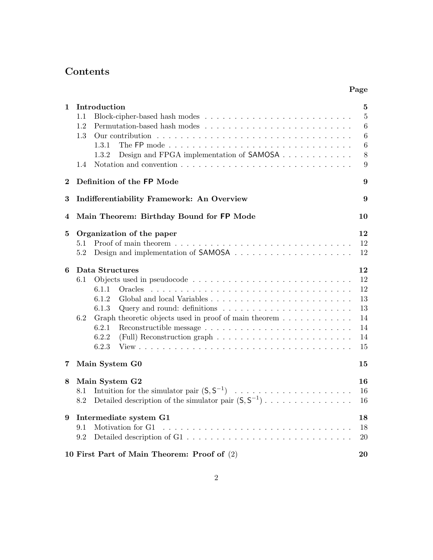# **Contents**

| 1              |     | Introduction                                                                                     | 5              |
|----------------|-----|--------------------------------------------------------------------------------------------------|----------------|
|                | 1.1 |                                                                                                  | $\overline{5}$ |
|                | 1.2 |                                                                                                  | $\overline{6}$ |
|                | 1.3 |                                                                                                  | $\overline{6}$ |
|                |     | 1.3.1                                                                                            | $\overline{6}$ |
|                |     | Design and FPGA implementation of <b>SAMOSA</b><br>1.3.2                                         | 8              |
|                | 1.4 | Notation and convention $\ldots \ldots \ldots \ldots \ldots \ldots \ldots \ldots \ldots \ldots$  | 9              |
| $\bf{2}$       |     | Definition of the FP Mode                                                                        | 9              |
| 3              |     | Indifferentiability Framework: An Overview                                                       | 9              |
| 4              |     | Main Theorem: Birthday Bound for FP Mode                                                         | 10             |
| 5              |     | Organization of the paper                                                                        | 12             |
|                | 5.1 |                                                                                                  | 12             |
|                | 5.2 |                                                                                                  | 12             |
| 6              |     | Data Structures                                                                                  | 12             |
|                | 6.1 |                                                                                                  | 12             |
|                |     | 6.1.1<br>Oracles                                                                                 | 12             |
|                |     | 6.1.2                                                                                            | 13             |
|                |     | 6.1.3<br>Query and round: definitions $\dots \dots \dots \dots \dots \dots \dots \dots$          | 13             |
|                | 6.2 | Graph theoretic objects used in proof of main theorem                                            | 14             |
|                |     | 6.2.1                                                                                            | 14             |
|                |     | 6.2.2<br>(Full) Reconstruction graph $\ldots \ldots \ldots \ldots \ldots \ldots \ldots$<br>6.2.3 | 14             |
|                |     |                                                                                                  | 15             |
| $\overline{7}$ |     | Main System G0                                                                                   | 15             |
| 8              |     | Main System G2                                                                                   | 16             |
|                | 8.1 | Intuition for the simulator pair $(S, S^{-1})$                                                   | 16             |
|                | 8.2 | Detailed description of the simulator pair $(S, S^{-1})$                                         | 16             |
| 9              |     | Intermediate system G1                                                                           | 18             |
|                | 9.1 | Motivation for G1                                                                                | 18             |
|                | 9.2 |                                                                                                  | 20             |
|                |     | 10 First Part of Main Theorem: Proof of (2)                                                      | 20             |

**Page**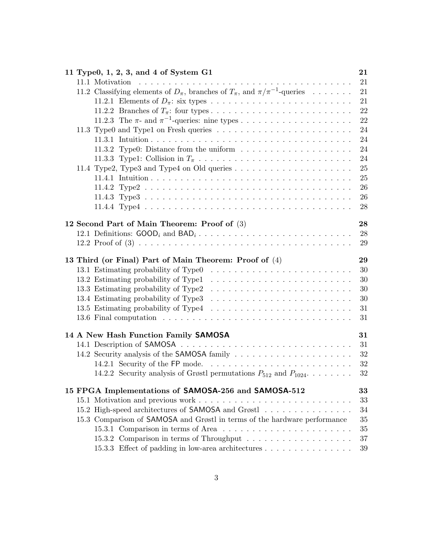| 11 Type0, 1, 2, 3, and 4 of System G1                                                                                              | 21       |
|------------------------------------------------------------------------------------------------------------------------------------|----------|
| 11.1 Motivation<br>the contract of the contract of the contract of the contract of the contract of the contract of the contract of | 21       |
| 11.2 Classifying elements of $D_{\pi}$ , branches of $T_{\pi}$ , and $\pi/\pi^{-1}$ -queries                                       | 21       |
|                                                                                                                                    | 21       |
|                                                                                                                                    | 22       |
|                                                                                                                                    | 22       |
|                                                                                                                                    | 24       |
|                                                                                                                                    | 24       |
| 11.3.2 Type0: Distance from the uniform $\dots \dots \dots \dots \dots \dots \dots$                                                | 24       |
|                                                                                                                                    | 24       |
|                                                                                                                                    | 25       |
|                                                                                                                                    | 25       |
|                                                                                                                                    | 26       |
|                                                                                                                                    | 26       |
|                                                                                                                                    | 28       |
| 12 Second Part of Main Theorem: Proof of (3)                                                                                       | 28       |
|                                                                                                                                    | 28       |
|                                                                                                                                    | 29       |
|                                                                                                                                    |          |
| 13 Third (or Final) Part of Main Theorem: Proof of (4)                                                                             | 29       |
|                                                                                                                                    | 30       |
|                                                                                                                                    | 30<br>30 |
| 13.3 Estimating probability of Type2                                                                                               | 30       |
|                                                                                                                                    |          |
|                                                                                                                                    | 31       |
|                                                                                                                                    | 31       |
| 14 A New Hash Function Family SAMOSA                                                                                               | 31       |
|                                                                                                                                    | 31       |
|                                                                                                                                    | 32       |
| 14.2.1 Security of the FP mode                                                                                                     | 32       |
| 14.2.2 Security analysis of Grøstl permutations $P_{512}$ and $P_{1024}$                                                           | 32       |
| 15 FPGA Implementations of SAMOSA-256 and SAMOSA-512                                                                               | 33       |
|                                                                                                                                    | 33       |
| 15.2 High-speed architectures of SAMOSA and Grøstl                                                                                 | 34       |
| 15.3 Comparison of SAMOSA and Grøstl in terms of the hardware performance                                                          | 35       |
| 15.3.1 Comparison in terms of Area                                                                                                 | 35       |
|                                                                                                                                    | 37       |
| 15.3.3 Effect of padding in low-area architectures                                                                                 | 39       |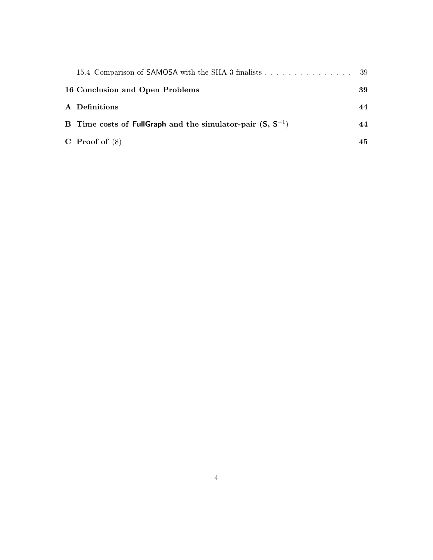| 15.4 Comparison of SAMOSA with the SHA-3 finalists 39          |    |
|----------------------------------------------------------------|----|
| 16 Conclusion and Open Problems                                | 39 |
| A Definitions                                                  | 44 |
| B Time costs of FullGraph and the simulator-pair $(S, S^{-1})$ | 44 |
| C Proof of $(8)$                                               | 45 |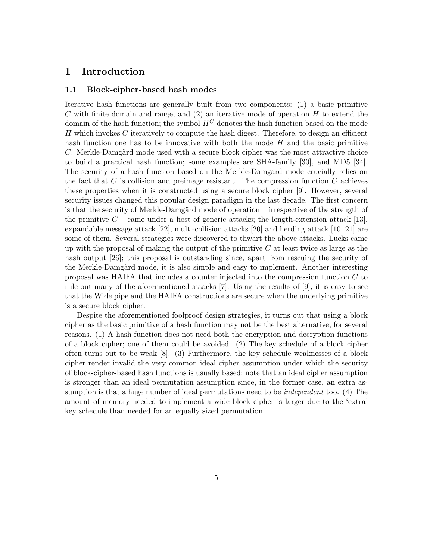### **1 Introduction**

### **1.1 Block-cipher-based hash modes**

Iterative hash functions are generally built from two components: (1) a basic primitive *C* with finite domain and range, and (2) an iterative mode of operation *H* to extend the domain of the hash function; the symbol  $H^C$  denotes the hash function based on the mode *H* which invokes *C* iteratively to compute the hash digest. Therefore, to design an efficient hash function one has to be innovative with both the mode *H* and the basic primitive *C*. Merkle-Damgärd mode used with a secure block cipher was the most attractive choice to build a practical hash function; some examples are SHA-family [30], and MD5 [34]. The security of a hash function based on the Merkle-Damgärd mode crucially relies on the fact that *C* is collision and preimage resistant. The compression function *C* achieves these properties when it is constructed using a secure block cipher [9]. However, several security issues changed this popular design paradigm in the last decade. The first concern is that the security of Merkle-Damgärd mode of operation – irrespective of the strength of the primitive  $C$  – came under a host of generic attacks; the length-extension attack [13], expandable message attack [22], multi-collision attacks [20] and herding attack [10, 21] are some of them. Several strategies were discovered to thwart the above attacks. Lucks came up with the proposal of making the output of the primitive *C* at least twice as large as the hash output [26]; this proposal is outstanding since, apart from rescuing the security of the Merkle-Damgärd mode, it is also simple and easy to implement. Another interesting proposal was HAIFA that includes a counter injected into the compression function *C* to rule out many of the aforementioned attacks [7]. Using the results of [9], it is easy to see that the Wide pipe and the HAIFA constructions are secure when the underlying primitive is a secure block cipher.

Despite the aforementioned foolproof design strategies, it turns out that using a block cipher as the basic primitive of a hash function may not be the best alternative, for several reasons. (1) A hash function does not need both the encryption and decryption functions of a block cipher; one of them could be avoided. (2) The key schedule of a block cipher often turns out to be weak [8]. (3) Furthermore, the key schedule weaknesses of a block cipher render invalid the very common ideal cipher assumption under which the security of block-cipher-based hash functions is usually based; note that an ideal cipher assumption is stronger than an ideal permutation assumption since, in the former case, an extra assumption is that a huge number of ideal permutations need to be *independent* too. (4) The amount of memory needed to implement a wide block cipher is larger due to the 'extra' key schedule than needed for an equally sized permutation.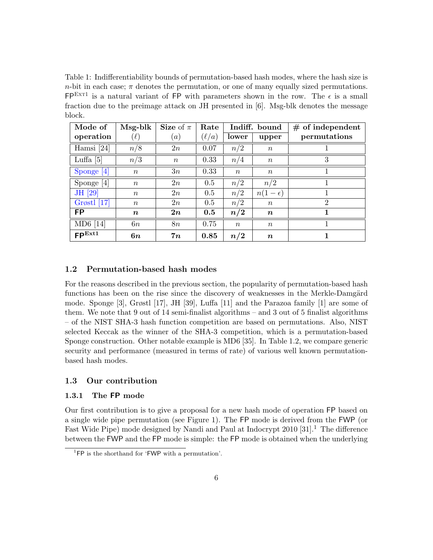Table 1: Indifferentiability bounds of permutation-based hash modes, where the hash size is *n*-bit in each case;  $\pi$  denotes the permutation, or one of many equally sized permutations.  $FP<sup>ExT1</sup>$  is a natural variant of FP with parameters shown in the row. The  $\epsilon$  is a small fraction due to the preimage attack on JH presented in [6]. Msg-blk denotes the message block.

| Mode of            | $Msg-blk$        | Size of $\pi$    | Rate     | Indiff. bound    |                  | $#$ of independent |
|--------------------|------------------|------------------|----------|------------------|------------------|--------------------|
| operation          | $(\ell)$         | (a)              | $\ell/a$ | lower            | upper            | permutations       |
| Hamsi $[24]$       | n/8              | 2n               | 0.07     | n/2              | $\boldsymbol{n}$ |                    |
| Luffa $[5]$        | n/3              | $\boldsymbol{n}$ | 0.33     | n/4              | $\boldsymbol{n}$ | 3                  |
| Sponge [4]         | $\boldsymbol{n}$ | 3n               | 0.33     | $\boldsymbol{n}$ | $\,n$            |                    |
| Sponge $[4]$       | $\boldsymbol{n}$ | 2n               | 0.5      | n/2              | n/2              |                    |
| JH [29]            | $\boldsymbol{n}$ | 2n               | 0.5      | n/2              | $n(1-\epsilon)$  |                    |
| Grøstl $[17]$      | $\boldsymbol{n}$ | 2n               | 0.5      | n/2              | $n_{\rm}$        | $\overline{2}$     |
| FP                 | $\boldsymbol{n}$ | 2n               | 0.5      | n/2              | $\boldsymbol{n}$ |                    |
| MD6 [14]           | 6n               | 8n               | 0.75     | $\boldsymbol{n}$ | $\boldsymbol{n}$ |                    |
| FP <sup>Ext1</sup> | 6n               | 7n               | 0.85     | n/2              | $\boldsymbol{n}$ |                    |

### **1.2 Permutation-based hash modes**

For the reasons described in the previous section, the popularity of permutation-based hash functions has been on the rise since the discovery of weaknesses in the Merkle-Damgärd mode. Sponge [3], Grøstl [17], JH [39], Luffa [11] and the Parazoa family [1] are some of them. We note that 9 out of 14 semi-finalist algorithms – and 3 out of 5 finalist algorithms – of the NIST SHA-3 hash function competition are based on permutations. Also, NIST selected Keccak as the winner of the SHA-3 competition, which is a permutation-based Sponge construction. Other notable example is MD6 [35]. In Table 1.2, we compare generic security and performance (measured in terms of rate) of various well known permutationbased hash modes.

### **1.3 Our contribution**

### **1.3.1 The FP mode**

Our first contribution is to give a proposal for a new hash mode of operation FP based on a single wide pipe permutation (see Figure 1). The FP mode is derived from the FWP (or Fast Wide Pipe) mode designed by Nandi and Paul at Indocrypt  $2010$  [31].<sup>1</sup> The difference between the FWP and the FP mode is simple: the FP mode is obtained when the underlying

 ${}^{1}$ FP is the shorthand for 'FWP with a permutation'.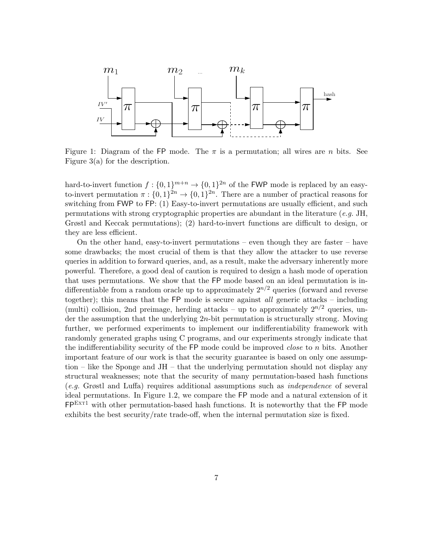

Figure 1: Diagram of the FP mode. The  $\pi$  is a permutation; all wires are *n* bits. See Figure 3(a) for the description.

hard-to-invert function  $f: \{0,1\}^{m+n} \to \{0,1\}^{2n}$  of the FWP mode is replaced by an easyto-invert permutation  $\pi : \{0,1\}^{2n} \to \{0,1\}^{2n}$ . There are a number of practical reasons for switching from FWP to FP: (1) Easy-to-invert permutations are usually efficient, and such permutations with strong cryptographic properties are abundant in the literature (*e.g.* JH, Grøstl and Keccak permutations); (2) hard-to-invert functions are difficult to design, or they are less efficient.

On the other hand, easy-to-invert permutations – even though they are faster – have some drawbacks; the most crucial of them is that they allow the attacker to use reverse queries in addition to forward queries, and, as a result, make the adversary inherently more powerful. Therefore, a good deal of caution is required to design a hash mode of operation that uses permutations. We show that the FP mode based on an ideal permutation is indifferentiable from a random oracle up to approximately  $2^{n/2}$  queries (forward and reverse together); this means that the FP mode is secure against *all* generic attacks – including (multi) collision, 2nd preimage, herding attacks – up to approximately  $2^{n/2}$  queries, under the assumption that the underlying 2*n*-bit permutation is structurally strong. Moving further, we performed experiments to implement our indifferentiability framework with randomly generated graphs using C programs, and our experiments strongly indicate that the indifferentiability security of the FP mode could be improved *close* to *n* bits. Another important feature of our work is that the security guarantee is based on only one assumption – like the Sponge and JH – that the underlying permutation should not display any structural weaknesses; note that the security of many permutation-based hash functions (*e.g.* Grøstl and Luffa) requires additional assumptions such as *independence* of several ideal permutations. In Figure 1.2, we compare the FP mode and a natural extension of it  $FP<sup>ExT1</sup>$  with other permutation-based hash functions. It is noteworthy that the FP mode exhibits the best security/rate trade-off, when the internal permutation size is fixed.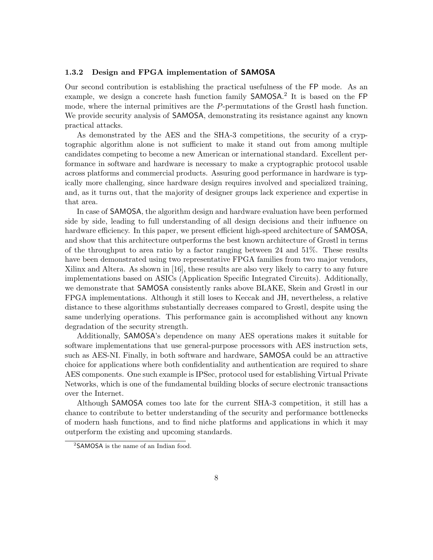#### **1.3.2 Design and FPGA implementation of SAMOSA**

Our second contribution is establishing the practical usefulness of the FP mode. As an example, we design a concrete hash function family SAMOSA. 2 It is based on the FP mode, where the internal primitives are the *P*-permutations of the Grøstl hash function. We provide security analysis of SAMOSA, demonstrating its resistance against any known practical attacks.

As demonstrated by the AES and the SHA-3 competitions, the security of a cryptographic algorithm alone is not sufficient to make it stand out from among multiple candidates competing to become a new American or international standard. Excellent performance in software and hardware is necessary to make a cryptographic protocol usable across platforms and commercial products. Assuring good performance in hardware is typically more challenging, since hardware design requires involved and specialized training, and, as it turns out, that the majority of designer groups lack experience and expertise in that area.

In case of SAMOSA, the algorithm design and hardware evaluation have been performed side by side, leading to full understanding of all design decisions and their influence on hardware efficiency. In this paper, we present efficient high-speed architecture of SAMOSA, and show that this architecture outperforms the best known architecture of Grøstl in terms of the throughput to area ratio by a factor ranging between 24 and 51%. These results have been demonstrated using two representative FPGA families from two major vendors, Xilinx and Altera. As shown in [16], these results are also very likely to carry to any future implementations based on ASICs (Application Specific Integrated Circuits). Additionally, we demonstrate that SAMOSA consistently ranks above BLAKE, Skein and Grøstl in our FPGA implementations. Although it still loses to Keccak and JH, nevertheless, a relative distance to these algorithms substantially decreases compared to Grøstl, despite using the same underlying operations. This performance gain is accomplished without any known degradation of the security strength.

Additionally, SAMOSA's dependence on many AES operations makes it suitable for software implementations that use general-purpose processors with AES instruction sets, such as AES-NI. Finally, in both software and hardware, SAMOSA could be an attractive choice for applications where both confidentiality and authentication are required to share AES components. One such example is IPSec, protocol used for establishing Virtual Private Networks, which is one of the fundamental building blocks of secure electronic transactions over the Internet.

Although SAMOSA comes too late for the current SHA-3 competition, it still has a chance to contribute to better understanding of the security and performance bottlenecks of modern hash functions, and to find niche platforms and applications in which it may outperform the existing and upcoming standards.

<sup>&</sup>lt;sup>2</sup>SAMOSA is the name of an Indian food.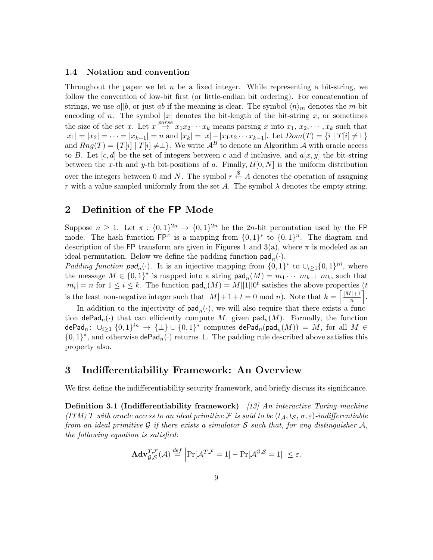#### **1.4 Notation and convention**

Throughout the paper we let *n* be a fixed integer. While representing a bit-string, we follow the convention of low-bit first (or little-endian bit ordering). For concatenation of strings, we use  $a||b$ , or just *ab* if the meaning is clear. The symbol  $\langle n \rangle_m$  denotes the *m*-bit encoding of *n*. The symbol  $|x|$  denotes the bit-length of the bit-string *x*, or sometimes the size of the set *x*. Let  $x \stackrel{parse}{\rightarrow} x_1x_2 \cdots x_k$  means parsing *x* into  $x_1, x_2, \cdots, x_k$  such that  $|x_1| = |x_2| = \cdots = |x_{k-1}| = n$  and  $|x_k| = |x| - |x_1x_2 \cdots x_{k-1}|$ . Let  $Dom(T) = \{i \mid T[i] \neq \perp\}$ and  $Rng(T) = {T[i] | T[i] \neq \perp}.$  We write  $A^B$  to denote an Algorithm *A* with oracle access to *B*. Let  $[c, d]$  be the set of integers between *c* and *d* inclusive, and  $a[x, y]$  the bit-string between the *x*-th and *y*-th bit-positions of *a*. Finally,  $\mathcal{U}[0, N]$  is the uniform distribution over the integers between 0 and *N*. The symbol  $r \stackrel{\$}{\leftarrow} A$  denotes the operation of assigning *r* with a value sampled uniformly from the set *A*. The symbol  $\lambda$  denotes the empty string.

### **2 Definition of the FP Mode**

Suppose  $n \geq 1$ . Let  $\pi : \{0,1\}^{2n} \to \{0,1\}^{2n}$  be the 2*n*-bit permutation used by the FP mode. The hash function  $\mathsf{FP}^{\pi}$  is a mapping from  $\{0,1\}^*$  to  $\{0,1\}^n$ . The diagram and description of the FP transform are given in Figures 1 and  $3(a)$ , where  $\pi$  is modeled as an ideal permutation. Below we define the padding function  $\text{pad}_n(\cdot)$ .

*Padding function*  $\mathbf{pad}_n(\cdot)$ . It is an injective mapping from  $\{0,1\}^*$  to  $\cup_{i\geq 1}\{0,1\}^{ni}$ , where the message  $M \in \{0,1\}^*$  is mapped into a string  $\text{pad}_n(M) = m_1 \cdots m_{k-1} m_k$ , such that  $|m_i| = n$  for  $1 \leq i \leq k$ . The function  $\text{pad}_n(M) = M||1||0^t$  satisfies the above properties  $(t)$ is the least non-negative integer such that  $|M| + 1 + t = 0 \text{ mod } n$ . Note that  $k = \left\lceil \frac{|M| + 1}{n} \right\rceil$ ⌉ .

In addition to the injectivity of  $\text{pad}_n(\cdot)$ , we will also require that there exists a function  $\textsf{dePad}_n(\cdot)$  that can efficiently compute *M*, given  $\textsf{pad}_n(M)$ . Formally, the function  $\bigoplus_{i=1}^n A_i : U_{i \geq 1} \{0,1\}^i \to {\{\perp\}} \cup \{0,1\}^*$  computes  $\mathsf{dePad}_n(\mathsf{pad}_n(M)) = M$ , for all  $M \in$ *{*0*,* 1*} ∗* , and otherwise dePad*n*(*·*) returns *⊥*. The padding rule described above satisfies this property also.

### **3 Indifferentiability Framework: An Overview**

We first define the indifferentiability security framework, and briefly discuss its significance.

**Definition 3.1 (Indifferentiability framework)** *[13] An interactive Turing machine (ITM) T with oracle access to an ideal primitive F is said to be* (*tA, tS, σ, ε*)*-indifferentiable from an ideal primitive G if there exists a simulator*  $S$  *such that, for any distinguisher*  $A$ *, the following equation is satisfied:*

$$
\mathbf{Adv}_{\mathcal{G},\mathcal{S}}^{T,\mathcal{F}}(\mathcal{A}) \stackrel{def}{=} \left| \Pr[\mathcal{A}^{T,\mathcal{F}}=1] - \Pr[\mathcal{A}^{\mathcal{G},\mathcal{S}}=1] \right| \leq \varepsilon.
$$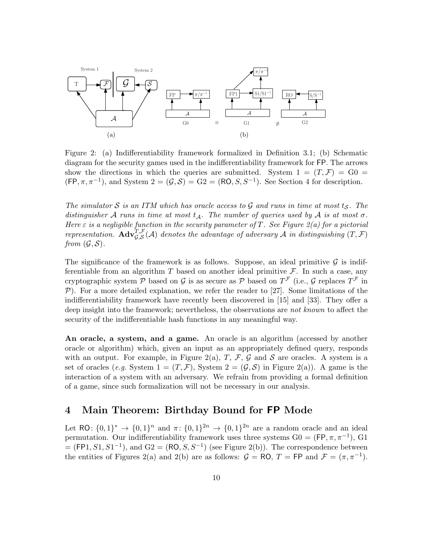

Figure 2: (a) Indifferentiability framework formalized in Definition 3.1; (b) Schematic diagram for the security games used in the indifferentiability framework for FP. The arrows show the directions in which the queries are submitted. System  $1 = (T, \mathcal{F}) = G_0$  $(FP, \pi, \pi^{-1})$ , and System  $2 = (\mathcal{G}, \mathcal{S}) = G2 = (RO, S, S^{-1})$ . See Section 4 for description.

*The simulator*  $S$  *is an ITM which has oracle access to*  $G$  *and runs in time at most*  $t_S$ *. The distinguisher A runs in time at most*  $t_A$ *. The number of queries used by A is at most*  $\sigma$ *. Here ε is a negligible function in the security parameter of T. See Figure 2(a) for a pictorial representation.*  $\mathbf{Adv}_{\mathcal{G},\mathcal{S}}^{T,\mathcal{F}}(\mathcal{A})$  denotes the advantage of adversary  $\mathcal{A}$  *in distinguishing*  $(T,\mathcal{F})$ *from*  $(\mathcal{G}, \mathcal{S})$ *.* 

The significance of the framework is as follows. Suppose, an ideal primitive  $\mathcal G$  is indifferentiable from an algorithm  $T$  based on another ideal primitive  $\mathcal{F}$ . In such a case, any cryptographic system  $P$  based on  $G$  is as secure as  $P$  based on  $T^{\mathcal{F}}$  (i.e.,  $G$  replaces  $T^{\mathcal{F}}$  in *P*). For a more detailed explanation, we refer the reader to [27]. Some limitations of the indifferentiability framework have recently been discovered in [15] and [33]. They offer a deep insight into the framework; nevertheless, the observations are *not known* to affect the security of the indifferentiable hash functions in any meaningful way.

**An oracle, a system, and a game.** An oracle is an algorithm (accessed by another oracle or algorithm) which, given an input as an appropriately defined query, responds with an output. For example, in Figure 2(a),  $T$ ,  $\mathcal{F}$ ,  $\mathcal{G}$  and  $\mathcal{S}$  are oracles. A system is a set of oracles (*e.g.* System  $1 = (T, \mathcal{F})$ , System  $2 = (\mathcal{G}, \mathcal{S})$  in Figure 2(a)). A game is the interaction of a system with an adversary. We refrain from providing a formal definition of a game, since such formalization will not be necessary in our analysis.

# **4 Main Theorem: Birthday Bound for FP Mode**

Let RO:  $\{0,1\}^* \to \{0,1\}^n$  and  $\pi: \{0,1\}^{2n} \to \{0,1\}^{2n}$  are a random oracle and an ideal permutation. Our indifferentiability framework uses three systems  $G0 = (FP, \pi, \pi^{-1}), G1$  $=$  (FP1,  $S1, S1^{-1}$ ), and  $G2 = (RO, S, S^{-1})$  (see Figure 2(b)). The correspondence between the entities of Figures 2(a) and 2(b) are as follows:  $G = \text{RO}, T = \text{FP}$  and  $\mathcal{F} = (\pi, \pi^{-1})$ .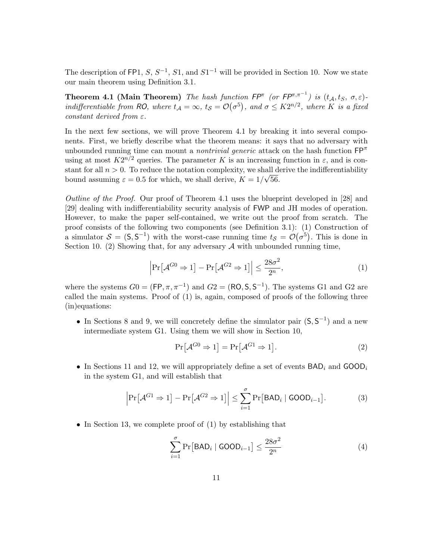The description of FP1,  $S$ ,  $S^{-1}$ ,  $S1$ , and  $S1^{-1}$  will be provided in Section 10. Now we state our main theorem using Definition 3.1.

**Theorem 4.1 (Main Theorem)** *The hash function*  $\mathsf{FP}^{\pi}$  (or  $\mathsf{FP}^{\pi,\pi^{-1}}$ ) is  $(t_{\mathcal{A}}, t_{\mathcal{S}}, \sigma, \varepsilon)$ indifferentiable from RO, where  $t_A = \infty$ ,  $t_S = \mathcal{O}(\sigma^5)$ , and  $\sigma \leq K 2^{n/2}$ , where K is a fixed *constant derived from ε.*

In the next few sections, we will prove Theorem 4.1 by breaking it into several components. First, we briefly describe what the theorem means: it says that no adversary with unbounded running time can mount a *nontrivial generic* attack on the hash function FP*<sup>π</sup>* using at most  $K2^{n/2}$  queries. The parameter *K* is an increasing function in  $\varepsilon$ , and is constant for all  $n > 0$ . To reduce the notation complexity, we shall derive the indifferentiability bound assuming  $\varepsilon = 0.5$  for which, we shall derive,  $K = 1/\sqrt{56}$ .

*Outline of the Proof.* Our proof of Theorem 4.1 uses the blueprint developed in [28] and [29] dealing with indifferentiability security analysis of FWP and JH modes of operation. However, to make the paper self-contained, we write out the proof from scratch. The proof consists of the following two components (see Definition 3.1): (1) Construction of a simulator  $S = (S, S^{-1})$  with the worst-case running time  $t_S = \mathcal{O}(\sigma^5)$ . This is done in Section 10. (2) Showing that, for any adversary  $A$  with unbounded running time,

$$
\left| \Pr[\mathcal{A}^{G0} \Rightarrow 1] - \Pr[\mathcal{A}^{G2} \Rightarrow 1] \right| \le \frac{28\sigma^2}{2^n},\tag{1}
$$

where the systems  $G0 = (FP, \pi, \pi^{-1})$  and  $G2 = (RO, S, S^{-1})$ . The systems G1 and G2 are called the main systems. Proof of (1) is, again, composed of proofs of the following three (in)equations:

*•* In Sections 8 and 9, we will concretely define the simulator pair (S*,* S *−*1 ) and a new intermediate system G1. Using them we will show in Section 10,

$$
\Pr[\mathcal{A}^{G0} \Rightarrow 1] = \Pr[\mathcal{A}^{G1} \Rightarrow 1]. \tag{2}
$$

*•* In Sections 11 and 12, we will appropriately define a set of events BAD*<sup>i</sup>* and GOOD*<sup>i</sup>* in the system G1, and will establish that

$$
\left|\Pr[\mathcal{A}^{G1} \Rightarrow 1] - \Pr[\mathcal{A}^{G2} \Rightarrow 1]\right| \le \sum_{i=1}^{\sigma} \Pr[\mathsf{BAD}_i \mid \mathsf{GOOD}_{i-1}].\tag{3}
$$

• In Section 13, we complete proof of (1) by establishing that

$$
\sum_{i=1}^{\sigma} \Pr[\text{BAD}_i \mid \text{GOOD}_{i-1}] \le \frac{28\sigma^2}{2^n} \tag{4}
$$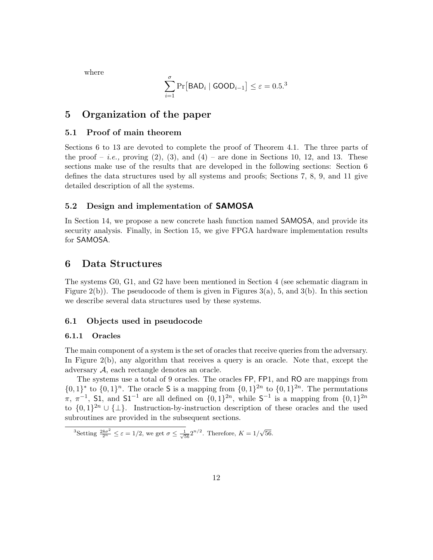where

$$
\sum_{i=1}^{\sigma} \Pr[\mathsf{BAD}_i \mid \mathsf{GOOD}_{i-1}] \le \varepsilon = 0.5.^3
$$

### **5 Organization of the paper**

#### **5.1 Proof of main theorem**

Sections 6 to 13 are devoted to complete the proof of Theorem 4.1. The three parts of the proof – *i.e.*, proving  $(2)$ ,  $(3)$ , and  $(4)$  – are done in Sections 10, 12, and 13. These sections make use of the results that are developed in the following sections: Section 6 defines the data structures used by all systems and proofs; Sections 7, 8, 9, and 11 give detailed description of all the systems.

### **5.2 Design and implementation of SAMOSA**

In Section 14, we propose a new concrete hash function named SAMOSA, and provide its security analysis. Finally, in Section 15, we give FPGA hardware implementation results for SAMOSA.

### **6 Data Structures**

The systems G0, G1, and G2 have been mentioned in Section 4 (see schematic diagram in Figure 2(b)). The pseudocode of them is given in Figures  $3(a)$ , 5, and  $3(b)$ . In this section we describe several data structures used by these systems.

### **6.1 Objects used in pseudocode**

#### **6.1.1 Oracles**

The main component of a system is the set of oracles that receive queries from the adversary. In Figure 2(b), any algorithm that receives a query is an oracle. Note that, except the adversary *A*, each rectangle denotes an oracle.

The systems use a total of 9 oracles. The oracles FP, FP1, and RO are mappings from  $\{0,1\}^n$  to  $\{0,1\}^n$ . The oracle **S** is a mapping from  $\{0,1\}^{2n}$  to  $\{0,1\}^{2n}$ . The permutations  $\pi$ ,  $\pi^{-1}$ , S1, and S1<sup>-1</sup> are all defined on  $\{0,1\}^{2n}$ , while S<sup>-1</sup> is a mapping from  $\{0,1\}^{2n}$ to  $\{0,1\}^{2n} \cup \{\perp\}$ . Instruction-by-instruction description of these oracles and the used subroutines are provided in the subsequent sections.

<sup>3</sup>Setting  $\frac{28\sigma^2}{2^n} \leq \varepsilon = 1/2$ , we get  $\sigma \leq \frac{1}{\sqrt{56}} 2^{n/2}$ . Therefore,  $K = 1/\sqrt{56}$ .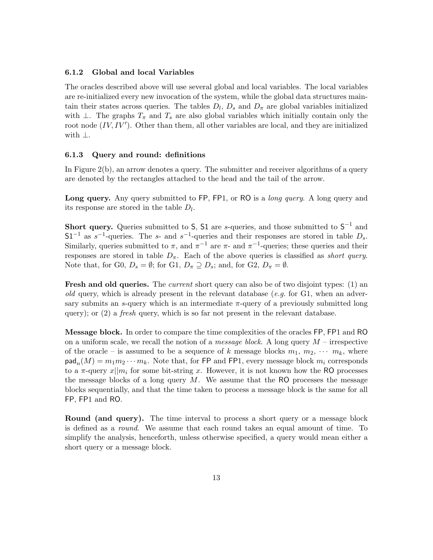#### **6.1.2 Global and local Variables**

The oracles described above will use several global and local variables. The local variables are re-initialized every new invocation of the system, while the global data structures maintain their states across queries. The tables  $D_l$ ,  $D_s$  and  $D_{\pi}$  are global variables initialized with  $\bot$ . The graphs  $T_{\pi}$  and  $T_s$  are also global variables which initially contain only the root node  $(IV, IV')$ . Other than them, all other variables are local, and they are initialized with *⊥*.

#### **6.1.3 Query and round: definitions**

In Figure  $2(b)$ , an arrow denotes a query. The submitter and receiver algorithms of a query are denoted by the rectangles attached to the head and the tail of the arrow.

**Long query.** Any query submitted to FP, FP1, or RO is a *long query*. A long query and its response are stored in the table *D<sup>l</sup>* .

**Short query.** Queries submitted to S, S1 are *s*-queries, and those submitted to S *−*1 and  $S1^{-1}$  as  $s^{-1}$ -queries. The *s*- and  $s^{-1}$ -queries and their responses are stored in table  $D_s$ . Similarly, queries submitted to  $\pi$ , and  $\pi^{-1}$  are  $\pi$ - and  $\pi^{-1}$ -queries; these queries and their responses are stored in table  $D_{\pi}$ . Each of the above queries is classified as *short query*. Note that, for G0,  $D_s = \emptyset$ ; for G1,  $D_\pi \supseteq D_s$ ; and, for G2,  $D_\pi = \emptyset$ .

**Fresh and old queries.** The *current* short query can also be of two disjoint types: (1) an *old* query, which is already present in the relevant database (*e.g.* for G1, when an adversary submits an *s*-query which is an intermediate  $\pi$ -query of a previously submitted long query); or (2) a *fresh* query, which is so far not present in the relevant database.

**Message block.** In order to compare the time complexities of the oracles FP, FP1 and RO on a uniform scale, we recall the notion of a *message block*. A long query *M* – irrespective of the oracle – is assumed to be a sequence of k message blocks  $m_1, m_2, \cdots, m_k$ , where  $\text{pad}_n(M) = m_1 m_2 \cdots m_k$ . Note that, for FP and FP1, every message block  $m_i$  corresponds to a  $\pi$ -query  $x||m_i$  for some bit-string x. However, it is not known how the RO processes the message blocks of a long query  $M$ . We assume that the RO processes the message blocks sequentially, and that the time taken to process a message block is the same for all FP, FP1 and RO.

**Round (and query).** The time interval to process a short query or a message block is defined as a *round*. We assume that each round takes an equal amount of time. To simplify the analysis, henceforth, unless otherwise specified, a query would mean either a short query or a message block.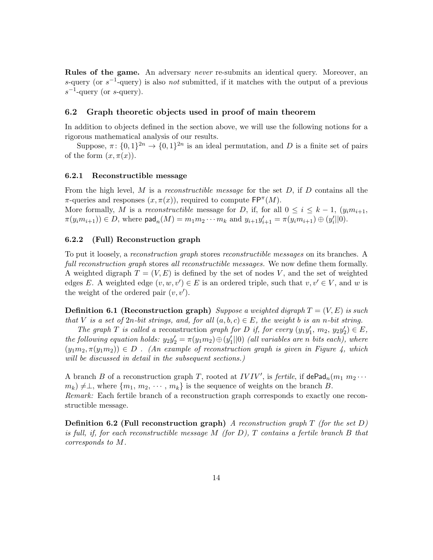**Rules of the game.** An adversary *never* re-submits an identical query. Moreover, an *s*-query (or *s −*1 -query) is also *not* submitted, if it matches with the output of a previous *s −*1 -query (or *s*-query).

#### **6.2 Graph theoretic objects used in proof of main theorem**

In addition to objects defined in the section above, we will use the following notions for a rigorous mathematical analysis of our results.

Suppose,  $\pi$ :  $\{0,1\}^{2n} \to \{0,1\}^{2n}$  is an ideal permutation, and *D* is a finite set of pairs of the form  $(x, \pi(x))$ .

#### **6.2.1 Reconstructible message**

From the high level, *M* is a *reconstructible message* for the set *D*, if *D* contains all the  $\pi$ -queries and responses  $(x, \pi(x))$ , required to compute  $\mathsf{FP}^{\pi}(M)$ .

More formally, *M* is a *reconstructible* message for *D*, if, for all  $0 \leq i \leq k-1$ ,  $(y_i m_{i+1},$  $\pi(y_i m_{i+1}) \in D$ , where  $\textsf{pad}_n(M) = m_1 m_2 \cdots m_k$  and  $y_{i+1} y'_{i+1} = \pi(y_i m_{i+1}) \oplus (y'_i || 0)$ .

#### **6.2.2 (Full) Reconstruction graph**

To put it loosely, a *reconstruction graph* stores *reconstructible messages* on its branches. A *full reconstruction graph* stores *all reconstructible messages.* We now define them formally. A weighted digraph  $T = (V, E)$  is defined by the set of nodes V, and the set of weighted edges *E*. A weighted edge  $(v, w, v') \in E$  is an ordered triple, such that  $v, v' \in V$ , and *w* is the weight of the ordered pair  $(v, v')$ .

**Definition 6.1 (Reconstruction graph)** *Suppose a weighted digraph T* = (*V, E*) *is such that V is a set of*  $2n$ *-bit strings, and, for all*  $(a, b, c) \in E$ *, the weight b is an n*-*bit string.* 

*The graph T* is called a reconstruction *graph for D if, for every*  $(y_1y'_1, m_2, y_2y'_2) \in E$ , *the following equation holds:*  $y_2y'_2 = \pi(y_1m_2) \oplus (y'_1||0)$  *(all variables are n bits each), where*  $(y_1m_2, \pi(y_1m_2)) \in D$  *. (An example of reconstruction graph is given in Figure 4, which will be discussed in detail in the subsequent sections.)*

A branch *B* of a reconstruction graph *T*, rooted at *IVIV'*, is *fertile*, if  $\text{dePad}_n(m_1 m_2 \cdots$  $m_k$ )  $\neq \perp$ , where  $\{m_1, m_2, \cdots, m_k\}$  is the sequence of weights on the branch *B*. *Remark:* Each fertile branch of a reconstruction graph corresponds to exactly one reconstructible message.

**Definition 6.2 (Full reconstruction graph)** *A reconstruction graph T (for the set D) is full, if, for each reconstructible message M (for D), T contains a fertile branch B that corresponds to M.*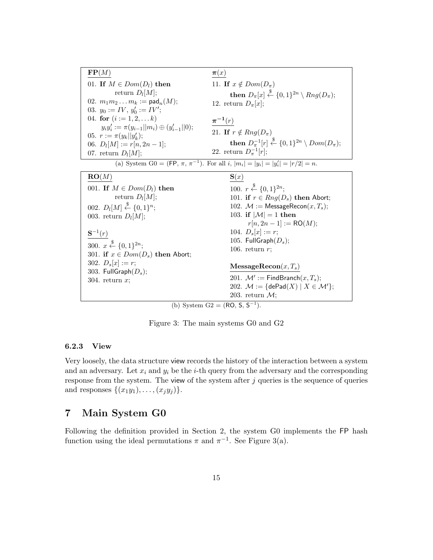**FP**(*M*) 01. **If**  $M \in Dom(D_l)$  **then** return *D<sup>l</sup>* [*M*]; 02.  $m_1m_2\ldots m_k := \mathsf{pad}_n(M);$ 03.  $y_0 := IV, y'_0 := IV'$ ; 04. **for**  $(i := 1, 2, \ldots k)$  $y_i y_i' := \pi(y_{i-1}||m_i) \oplus (y_{i-1}'||0);$ 05.  $r := \pi(y_k || y'_k);$ 06.  $D_l[M] := r[n, 2n - 1];$ 07. return  $D_l[M]$ ; *π*(*x*) 11. **If**  $x \notin Dom(D_\pi)$  $\textbf{then } D_{\pi}[x] \overset{\$}{\leftarrow} \{0,1\}^{2n} \setminus Rng(D_{\pi});$ 12. return  $D_{\pi}[x]$ ; *π−***<sup>1</sup>** (*r*) 21. **If**  $r \notin Rng(D_\pi)$  $\textbf{then } D_{\pi}^{-1}[r] \overset{\$}{\leftarrow} \{0,1\}^{2n} \setminus Dom(D_{\pi});$ 22. return  $D_{\pi}^{-1}[r];$ (a) System G0 = (FP,  $\pi$ ,  $\pi^{-1}$ ). For all i,  $|m_i| = |y_i| = |y'_i| = |r/2| = n$ . **RO**(*M*) 001. **If**  $M \in Dom(D_l)$  **then** return *D<sup>l</sup>* [*M*]; 002.  $D_l[M] \stackrel{\$}{\leftarrow} \{0,1\}^n;$ 003. return  $D_l[M]$ ;  $S^{-1}(r)$ 300.  $x \stackrel{\$}{\leftarrow} \{0,1\}^{2n}$ ; 301. **if**  $x \in Dom(D_s)$  **then** Abort; 302.  $D_s[x] := r$ ; 303. FullGraph(*Ds*); 304. return *x*; **S**(*x*) 100.  $r \stackrel{\$}{\leftarrow} \{0,1\}^{2n}$ ; 101. **if**  $r \in Rng(D_s)$  **then** Abort; 102.  $M :=$  MessageRecon $(x, T_s)$ ; 103. **if**  $|\mathcal{M}| = 1$  **then**  $r[n, 2n - 1] := \text{RO}(M);$ 104.  $D_s[x] := r;$ 105. FullGraph(*Ds*); 106. return *r*; **MessageRecon**(*x, Ts*) 201.  $\mathcal{M}' := \mathsf{FindBranch}(x, T_s);$ 202.  $\mathcal{M} := \{ \text{dePad}(X) \mid X \in \mathcal{M}' \};$ 203. return *M*;

(b) System  $G2 = (RO, S, S^{-1}).$ 

Figure 3: The main systems G0 and G2

#### **6.2.3 View**

Very loosely, the data structure view records the history of the interaction between a system and an adversary. Let  $x_i$  and  $y_i$  be the *i*-th query from the adversary and the corresponding response from the system. The view of the system after *j* queries is the sequence of queries and responses  $\{(x_1y_1), \ldots, (x_iy_i)\}.$ 

### **7 Main System G0**

Following the definition provided in Section 2, the system G0 implements the FP hash function using the ideal permutations  $\pi$  and  $\pi^{-1}$ . See Figure 3(a).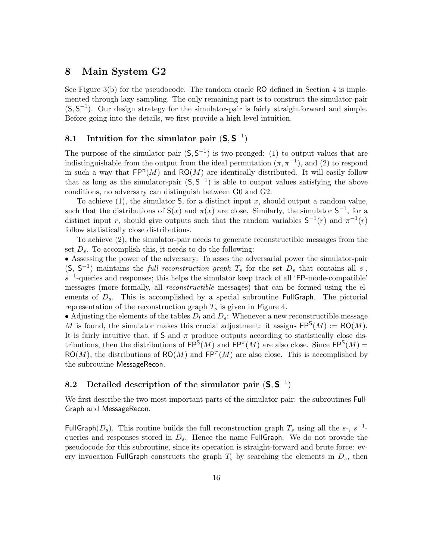### **8 Main System G2**

See Figure 3(b) for the pseudocode. The random oracle RO defined in Section 4 is implemented through lazy sampling. The only remaining part is to construct the simulator-pair (S*,* S *−*1 ). Our design strategy for the simulator-pair is fairly straightforward and simple. Before going into the details, we first provide a high level intuition.

# **8.1** Intuition for the simulator pair  $(S, S^{-1})$

The purpose of the simulator pair  $(S, S^{-1})$  is two-pronged: (1) to output values that are indistinguishable from the output from the ideal permutation  $(\pi, \pi^{-1})$ , and (2) to respond in such a way that  $\mathsf{FP}^{\pi}(M)$  and  $\mathsf{RO}(M)$  are identically distributed. It will easily follow that as long as the simulator-pair  $(S, S^{-1})$  is able to output values satisfying the above conditions, no adversary can distinguish between G0 and G2.

To achieve (1), the simulator S, for a distinct input *x*, should output a random value, such that the distributions of  $S(x)$  and  $\pi(x)$  are close. Similarly, the simulator  $S^{-1}$ , for a distinct input *r*, should give outputs such that the random variables  $S^{-1}(r)$  and  $\pi^{-1}(r)$ follow statistically close distributions.

To achieve (2), the simulator-pair needs to generate reconstructible messages from the set  $D_s$ . To accomplish this, it needs to do the following:

*•* Assessing the power of the adversary: To asses the adversarial power the simulator-pair  $(S, S^{-1})$  maintains the *full reconstruction graph*  $T_s$  for the set  $D_s$  that contains all *s*-, *s*<sup>-1</sup>-queries and responses; this helps the simulator keep track of all 'FP-mode-compatible' messages (more formally, all *reconstructible* messages) that can be formed using the elements of  $D_s$ . This is accomplished by a special subroutine FullGraph. The pictorial representation of the reconstruction graph  $T_s$  is given in Figure 4.

• Adjusting the elements of the tables  $D_l$  and  $D_s$ : Whenever a new reconstructible message M is found, the simulator makes this crucial adjustment: it assigns  $\mathsf{FP}^{\mathsf{S}}(M) := \mathsf{RO}(M)$ . It is fairly intuitive that, if  $S$  and  $\pi$  produce outputs according to statistically close distributions, then the distributions of  $\mathsf{FP}^{\mathsf{S}}(M)$  and  $\mathsf{FP}^{\pi}(M)$  are also close. Since  $\mathsf{FP}^{\mathsf{S}}(M)$  =  $RO(M)$ , the distributions of  $RO(M)$  and  $FP^{m}(M)$  are also close. This is accomplished by the subroutine MessageRecon.

# **8.2 Detailed description of the simulator pair** (**S***,* **S** *−*1 )

We first describe the two most important parts of the simulator-pair: the subroutines Full-Graph and MessageRecon.

FullGraph( $D_s$ ). This routine builds the full reconstruction graph  $T_s$  using all the *s*-,  $s^{-1}$ queries and responses stored in  $D_s$ . Hence the name FullGraph. We do not provide the pseudocode for this subroutine, since its operation is straight-forward and brute force: every invocation FullGraph constructs the graph  $T_s$  by searching the elements in  $D_s$ , then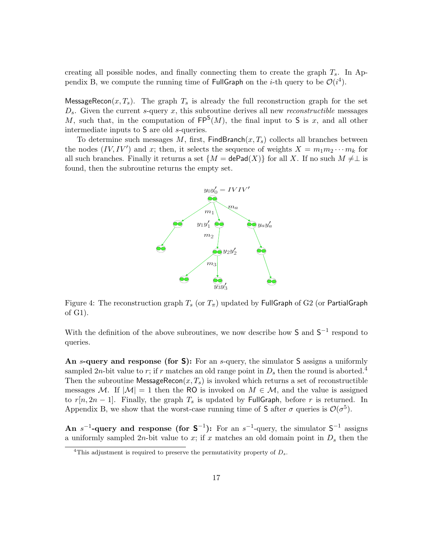creating all possible nodes, and finally connecting them to create the graph *Ts*. In Appendix B, we compute the running time of FullGraph on the *i*-th query to be  $\mathcal{O}(i^4)$ .

MessageRecon $(x, T_s)$ . The graph  $T_s$  is already the full reconstruction graph for the set *Ds*. Given the current *s*-query *x*, this subroutine derives all new *reconstructible* messages M, such that, in the computation of  $FP<sup>S</sup>(M)$ , the final input to S is x, and all other intermediate inputs to S are old *s*-queries.

To determine such messages  $M$ , first, FindBranch $(x, T_s)$  collects all branches between the nodes  $(IV, IV')$  and *x*; then, it selects the sequence of weights  $X = m_1 m_2 \cdots m_k$  for all such branches. Finally it returns a set  $\{M = \mathsf{dePad}(X)\}\$  for all X. If no such  $M \neq \perp$  is found, then the subroutine returns the empty set.



Figure 4: The reconstruction graph  $T_s$  (or  $T_\pi$ ) updated by FullGraph of G2 (or PartialGraph of G1).

With the definition of the above subroutines, we now describe how  $S$  and  $S^{-1}$  respond to queries.

**An** *s***-query and response (for S):** For an *s*-query, the simulator S assigns a uniformly sampled 2*n*-bit value to *r*; if *r* matches an old range point in  $D_s$  then the round is aborted.<sup>4</sup> Then the subroutine MessageRecon $(x, T_s)$  is invoked which returns a set of reconstructible messages *M*. If  $|M| = 1$  then the RO is invoked on  $M \in \mathcal{M}$ , and the value is assigned to  $r[n, 2n-1]$ . Finally, the graph  $T_s$  is updated by FullGraph, before r is returned. In Appendix B, we show that the worst-case running time of S after  $\sigma$  queries is  $\mathcal{O}(\sigma^5)$ .

**An**  $s^{-1}$ -query and response (for  $S^{-1}$ ): For an  $s^{-1}$ -query, the simulator  $S^{-1}$  assigns a uniformly sampled 2*n*-bit value to *x*; if *x* matches an old domain point in  $D<sub>s</sub>$  then the

<sup>&</sup>lt;sup>4</sup>This adjustment is required to preserve the permutativity property of  $D_s$ .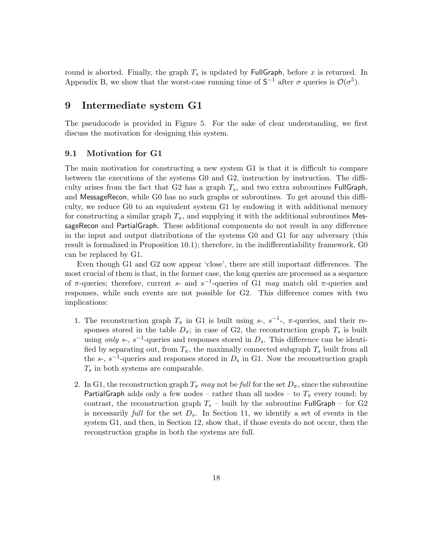round is aborted. Finally, the graph  $T_s$  is updated by FullGraph, before  $x$  is returned. In Appendix B, we show that the worst-case running time of  $S^{-1}$  after  $\sigma$  queries is  $\mathcal{O}(\sigma^5)$ .

### **9 Intermediate system G1**

The pseudocode is provided in Figure 5. For the sake of clear understanding, we first discuss the motivation for designing this system.

### **9.1 Motivation for G1**

The main motivation for constructing a new system G1 is that it is difficult to compare between the executions of the systems G0 and G2, instruction by instruction. The difficulty arises from the fact that  $G2$  has a graph  $T_s$ , and two extra subroutines FullGraph, and MessageRecon, while G0 has no such graphs or subroutines. To get around this difficulty, we reduce G0 to an equivalent system G1 by endowing it with additional memory for constructing a similar graph  $T_{\pi}$ , and supplying it with the additional subroutines MessageRecon and PartialGraph. These additional components do not result in any difference in the input and output distributions of the systems G0 and G1 for any adversary (this result is formalized in Proposition 10.1); therefore, in the indifferentiability framework, G0 can be replaced by G1.

Even though G1 and G2 now appear 'close', there are still important differences. The most crucial of them is that, in the former case, the long queries are processed as a sequence of *π*-queries; therefore, current *s*- and  $s^{-1}$ -queries of G1 *may* match old *π*-queries and responses, while such events are not possible for G2. This difference comes with two implications:

- 1. The reconstruction graph  $T_{\pi}$  in G1 is built using *s*-,  $s^{-1}$ -,  $\pi$ -queries, and their responses stored in the table  $D_{\pi}$ ; in case of G2, the reconstruction graph  $T_s$  is built using *only*  $s$ -,  $s^{-1}$ -queries and responses stored in  $D_s$ . This difference can be identified by separating out, from  $T_{\pi}$ , the maximally connected subgraph  $T_s$  built from all the  $s$ -,  $s^{-1}$ -queries and responses stored in  $D_s$  in G1. Now the reconstruction graph *T<sup>s</sup>* in both systems are comparable.
- 2. In G1, the reconstruction graph  $T_{\pi}$  *may* not be *full* for the set  $D_{\pi}$ , since the subroutine PartialGraph adds only a few nodes – rather than all nodes – to  $T_{\pi}$  every round; by contrast, the reconstruction graph  $T_s$  – built by the subroutine FullGraph – for G2 is necessarily *full* for the set *Ds*. In Section 11, we identify a set of events in the system G1, and then, in Section 12, show that, if those events do not occur, then the reconstruction graphs in both the systems are full.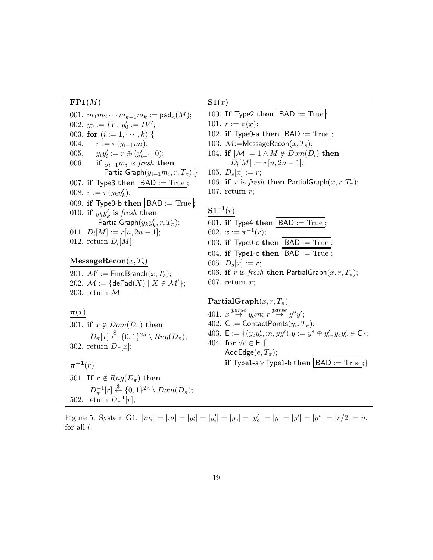### **FP1(***M***)**

001.  $m_1 m_2 \cdots m_{k-1} m_k := \textsf{pad}_n(M);$ 002.  $y_0 := IV, y'_0 := IV'$ ; 003. **for**  $(i := 1, \dots, k)$  { 004.  $r := \pi(y_{i-1}m_i);$ 005. *yiy ′ i* := *r ⊕* (*y ′ i−*1 *||*0); 006. **if** *yi−*1*m<sup>i</sup>* is *fresh* **then** PartialGraph(*yi−*1*m<sup>i</sup> , r, Tπ*);*}* 007. **if** Type3 **then**  $|$  BAD := True ; 008.  $r := \pi(y_k y'_k);$ 009. **if** Type0-b **then**  $BAD := True$ ; 010. **if**  $y_k y'_k$  is *fresh* **then**  $\mathsf{PartialGraph}(y_k y_k', r, T_\pi);$  $011. \ D_l[M] := r[n, 2n - 1];$ 012. return  $D_l[M]$ ; **MessageRecon**(*x, Ts*)  $201.$   $\mathcal{M}' :=$  FindBranch $(x, T_s);$ 202.  $\mathcal{M} := \{ \text{dePad}(X) \mid X \in \mathcal{M}' \};$ 203. return *M*; *π*(*x*) 301. **if**  $x \notin Dom(D_\pi)$  **then**  $D_{\pi}[x] \stackrel{\$}{\leftarrow} \{0,1\}^{2n} \setminus Rng(D_{\pi});$ 302. return  $D_{\pi}[x]$ ; *π −***1** (*r*) 501. **If**  $r \notin Rng(D_\pi)$  **then**  $D_{\pi}^{-1}[r] \stackrel{\$}{\leftarrow} \{0,1\}^{2n} \setminus Dom(D_{\pi});$ 502. return  $D_{\pi}^{-1}[r];$ 

### **S1(***x***)**

100. **If** Type2 **then**  $|$  BAD := True  $|$ ;

101.  $r := \pi(x);$ 

- 102. **if** Type0-a **then**  $|$  BAD := True  $|$ ;
- 103.  $\mathcal{M}$ :=MessageRecon $(x, T_s)$ ;

104. if 
$$
|\mathcal{M}| = 1 \land M \notin Dom(D_l)
$$
 then  

$$
D_l[M] := r[n, 2n - 1];
$$

$$
105. \ D_s[x] := r;
$$

106. **if** *x* is *fresh* **then** PartialGraph $(x, r, T_\pi)$ ; 107. return *r*;

### $S1^{-1}(r)$

601. if Type4 then 
$$
|BAD:=True|
$$
;

602.  $x := \pi^{-1}(r);$ 

603. if Type0-c then 
$$
\boxed{\text{BAD} := \text{True}}
$$
;

604. if Type1-c then 
$$
BAD := True
$$
;

605.  $D_s[x] := r;$ 

- 606. **if** *r* is *fresh* **then** PartialGraph $(x, r, T_\pi)$ ;
- 607. return *x*;

# **PartialGraph**(*x, r, Tπ*) 401.  $x \stackrel{parse }{\rightarrow} y_c m; r \stackrel{parse }{\rightarrow} y^*y';$ 402. C := ContactPoints $(y_c, T_\pi)$ ; 403.  $\mathsf{E} := \{ (y_c y_c', m, y y') | y := y^* \oplus y_c', y_c y_c' \in \mathsf{C} \};$ 404. **for** *∀e ∈* E *{* AddEdge $(e, T_\pi)$ ; **if** Type1-a∨Type1-b **then**  $\vert$  BAD := True  $\vert$ ; }

Figure 5: System G1.  $|m_i| = |m| = |y_i| = |y'_i| = |y'_c| = |y'_c| = |y| = |y'| = |y^*| = |r/2| = n$ , for all *i*.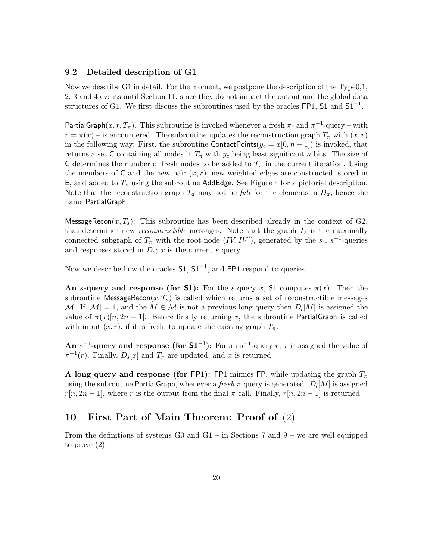### **9.2 Detailed description of G1**

Now we describe G1 in detail. For the moment, we postpone the description of the  $Type0,1$ , 2, 3 and 4 events until Section 11, since they do not impact the output and the global data structures of G1. We first discuss the subroutines used by the oracles FP1, S1 and S1*−*<sup>1</sup> .

PartialGraph( $x, r, T_\pi$ ). This subroutine is invoked whenever a fresh  $\pi$ - and  $\pi^{-1}$ -query – with  $r = \pi(x)$  – is encountered. The subroutine updates the reconstruction graph  $T_{\pi}$  with  $(x, r)$ in the following way: First, the subroutine ContactPoints $(y_c = x[0, n-1])$  is invoked, that returns a set C containing all nodes in  $T_\pi$  with  $y_c$  being least significant *n* bits. The size of C determines the number of fresh nodes to be added to  $T_{\pi}$  in the current iteration. Using the members of  $C$  and the new pair  $(x, r)$ , new weighted edges are constructed, stored in E, and added to  $T_{\pi}$  using the subroutine AddEdge. See Figure 4 for a pictorial description. Note that the reconstruction graph  $T_{\pi}$  may not be *full* for the elements in  $D_{\pi}$ ; hence the name PartialGraph.

MessageRecon $(x, T_s)$ : This subroutine has been described already in the context of G2, that determines new *reconstructible* messages. Note that the graph  $T_s$  is the maximally connected subgraph of  $T_{\pi}$  with the root-node  $(IV, IV')$ , generated by the *s*-, *s*<sup>-1</sup>-queries and responses stored in *Ds*; *x* is the current *s*-query.

Now we describe how the oracles **S1**,  $S1^{-1}$ , and **FP1** respond to queries.

**An** *s***-query and response (for <b>S1**): For the *s*-query *x*, S1 computes  $\pi(x)$ . Then the subroutine MessageRecon $(x, T_s)$  is called which returns a set of reconstructible messages *M*. If  $|M| = 1$ , and the  $M \in \mathcal{M}$  is not a previous long query then  $D_l[M]$  is assigned the value of  $\pi(x)[n, 2n-1]$ . Before finally returning r, the subroutine PartialGraph is called with input  $(x, r)$ , if it is fresh, to update the existing graph  $T_{\pi}$ .

**An**  $s^{-1}$ -query and response (for  $S1^{-1}$ ): For an  $s^{-1}$ -query *r*, *x* is assigned the value of  $\pi^{-1}(r)$ . Finally,  $D_s[x]$  and  $T_{\pi}$  are updated, and *x* is returned.

**A** long query and response (for **FP**1): FP1 mimics FP, while updating the graph  $T_{\pi}$ using the subroutine PartialGraph, whenever a *fresh π*-query is generated. *D<sup>l</sup>* [*M*] is assigned  $r[n, 2n-1]$ , where *r* is the output from the final  $\pi$  call. Finally,  $r[n, 2n-1]$  is returned.

### **10 First Part of Main Theorem: Proof of** (2)

From the definitions of systems G0 and G1 – in Sections 7 and  $9$  – we are well equipped to prove (2).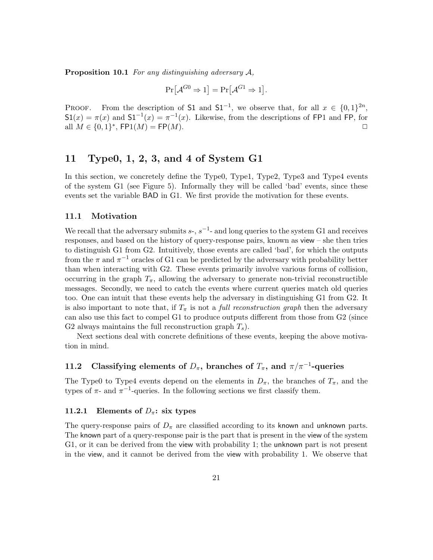**Proposition 10.1** *For any distinguishing adversary A,*

$$
\Pr[\mathcal{A}^{G0} \Rightarrow 1] = \Pr[\mathcal{A}^{G1} \Rightarrow 1].
$$

PROOF. From the description of S1 and S1<sup>-1</sup>, we observe that, for all  $x \in \{0,1\}^{2n}$ ,  $S1(x) = \pi(x)$  and  $S1^{-1}(x) = \pi^{-1}(x)$ . Likewise, from the descriptions of FP1 and FP, for  $\Box$  *M*  $\in \{0,1\}^*$ , FP1(*M*) = FP(*M*).

# **11 Type0, 1, 2, 3, and 4 of System G1**

In this section, we concretely define the Type0, Type1, Type2, Type3 and Type4 events of the system G1 (see Figure 5). Informally they will be called 'bad' events, since these events set the variable BAD in G1. We first provide the motivation for these events.

### **11.1 Motivation**

We recall that the adversary submits  $s$ -,  $s$ <sup>-1</sup>- and long queries to the system G1 and receives responses, and based on the history of query-response pairs, known as view – she then tries to distinguish G1 from G2. Intuitively, those events are called 'bad', for which the outputs from the  $\pi$  and  $\pi^{-1}$  oracles of G1 can be predicted by the adversary with probability better than when interacting with G2. These events primarily involve various forms of collision, occurring in the graph  $T_{\pi}$ , allowing the adversary to generate non-trivial reconstructible messages. Secondly, we need to catch the events where current queries match old queries too. One can intuit that these events help the adversary in distinguishing G1 from G2. It is also important to note that, if  $T_{\pi}$  is not a *full reconstruction graph* then the adversary can also use this fact to compel G1 to produce outputs different from those from G2 (since G2 always maintains the full reconstruction graph *Ts*).

Next sections deal with concrete definitions of these events, keeping the above motivation in mind.

# **11.2** Classifying elements of  $D_{\pi}$ , branches of  $T_{\pi}$ , and  $\pi/\pi^{-1}$ -queries

The Type0 to Type4 events depend on the elements in  $D_{\pi}$ , the branches of  $T_{\pi}$ , and the types of  $\pi$ - and  $\pi$ <sup>-1</sup>-queries. In the following sections we first classify them.

#### **11.2.1 Elements of**  $D_{\pi}$ **: six types**

The query-response pairs of  $D_{\pi}$  are classified according to its known and unknown parts. The known part of a query-response pair is the part that is present in the view of the system G1, or it can be derived from the view with probability 1; the unknown part is *n*ot present in the view, and it cannot be derived from the view with probability 1. We observe that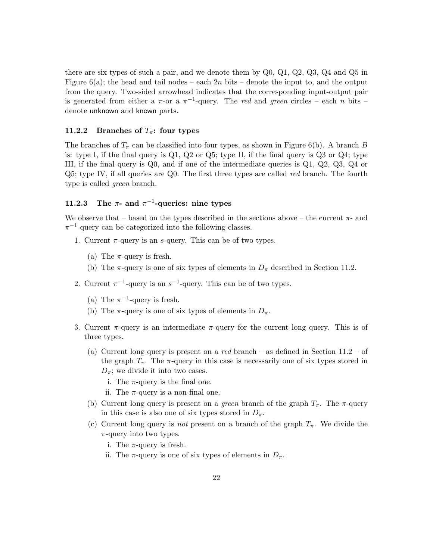there are six types of such a pair, and we denote them by Q0, Q1, Q2, Q3, Q4 and Q5 in Figure 6(a); the head and tail nodes – each 2*n* bits – denote the input to, and the output from the query. Two-sided arrowhead indicates that the corresponding input-output pair is generated from either a  $\pi$ -or a  $\pi$ <sup>-1</sup>-query. The *red* and *green* circles – each *n* bits – denote unknown and known parts.

#### **11.2.2 Branches of** *Tπ***: four types**

The branches of  $T_{\pi}$  can be classified into four types, as shown in Figure 6(b). A branch *B* is: type I, if the final query is Q1, Q2 or Q5; type II, if the final query is Q3 or Q4; type III, if the final query is Q0, and if one of the intermediate queries is Q1, Q2, Q3, Q4 or Q5; type IV, if all queries are Q0. The first three types are called *red* branch. The fourth type is called *green* branch.

### **11.2.3** The  $\pi$ - and  $\pi^{-1}$ -queries: nine types

We observe that – based on the types described in the sections above – the current  $\pi$ - and *π −*1 -query can be categorized into the following classes.

- 1. Current *π*-query is an *s*-query. This can be of two types.
	- (a) The  $\pi$ -query is fresh.
	- (b) The  $\pi$ -query is one of six types of elements in  $D_{\pi}$  described in Section 11.2.
- 2. Current  $\pi^{-1}$ -query is an  $s^{-1}$ -query. This can be of two types.
	- (a) The  $\pi^{-1}$ -query is fresh.
	- (b) The  $\pi$ -query is one of six types of elements in  $D_{\pi}$ .
- 3. Current  $\pi$ -query is an intermediate  $\pi$ -query for the current long query. This is of three types.
	- (a) Current long query is present on a *red* branch as defined in Section 11.2 of the graph  $T_{\pi}$ . The  $\pi$ -query in this case is necessarily one of six types stored in  $D_{\pi}$ ; we divide it into two cases.
		- i. The  $\pi$ -query is the final one.
		- ii. The  $\pi$ -query is a non-final one.
	- (b) Current long query is present on a *green* branch of the graph  $T_{\pi}$ . The  $\pi$ -query in this case is also one of six types stored in  $D_{\pi}$ .
	- (c) Current long query is *not* present on a branch of the graph  $T_{\pi}$ . We divide the *π*-query into two types.
		- i. The  $\pi$ -query is fresh.
		- ii. The  $\pi$ -query is one of six types of elements in  $D_{\pi}$ .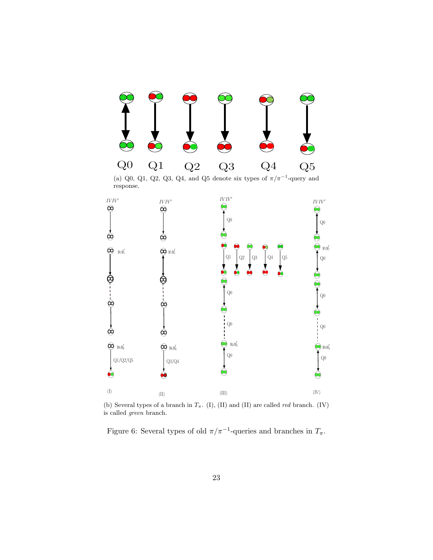

 $(II)$   $(III)$   $(IV)$ (b) Several types of a branch in *Tπ*. (I), (II) and (II) are called *red* branch. (IV) is called *green* branch.

Q0

∞

Q0

∞

 $Q3/Q4$ 

 $\rm Q1/Q2/Q5$ 

 $\bigcirc$ 

Figure 6: Several types of old  $\pi/\pi^{-1}$ -queries and branches in  $T_{\pi}$ .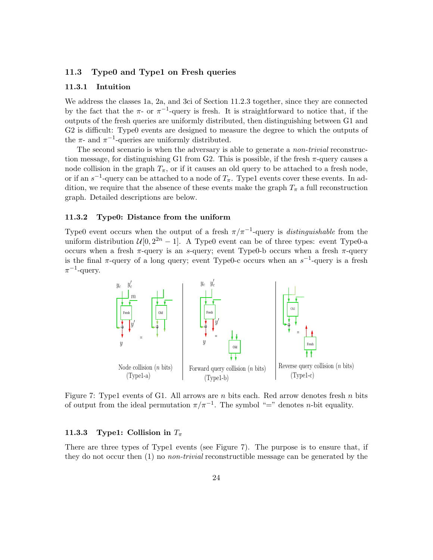### **11.3 Type0 and Type1 on Fresh queries**

#### **11.3.1 Intuition**

We address the classes 1a, 2a, and 3ci of Section 11.2.3 together, since they are connected by the fact that the  $\pi$ - or  $\pi$ <sup>-1</sup>-query is fresh. It is straightforward to notice that, if the outputs of the fresh queries are uniformly distributed, then distinguishing between G1 and G2 is difficult: Type0 events are designed to measure the degree to which the outputs of the  $\pi$ - and  $\pi^{-1}$ -queries are uniformly distributed.

The second scenario is when the adversary is able to generate a *non-trivial* reconstruction message, for distinguishing G1 from G2. This is possible, if the fresh *π*-query causes a node collision in the graph  $T_{\pi}$ , or if it causes an old query to be attached to a fresh node, or if an  $s^{-1}$ -query can be attached to a node of  $T_{\pi}$ . Type1 events cover these events. In addition, we require that the absence of these events make the graph  $T_{\pi}$  a full reconstruction graph. Detailed descriptions are below.

### **11.3.2 Type0: Distance from the uniform**

Type0 event occurs when the output of a fresh  $\pi/\pi^{-1}$ -query is *distinguishable* from the uniform distribution  $\mathcal{U}[0, 2^{2n} - 1]$ . A Type0 event can be of three types: event Type0-a occurs when a fresh *π*-query is an *s*-query; event Type0-b occurs when a fresh *π*-query is the final  $\pi$ -query of a long query; event Type0-c occurs when an  $s^{-1}$ -query is a fresh *π −*1 -query.



Figure 7: Type1 events of G1. All arrows are *n* bits each. Red arrow denotes fresh *n* bits of output from the ideal permutation  $\pi/\pi^{-1}$ . The symbol "=" denotes *n*-bit equality.

### **11.3.3 Type1:** Collision in  $T_\pi$

There are three types of Type1 events (see Figure 7). The purpose is to ensure that, if they do not occur then (1) no *non-trivial* reconstructible message can be generated by the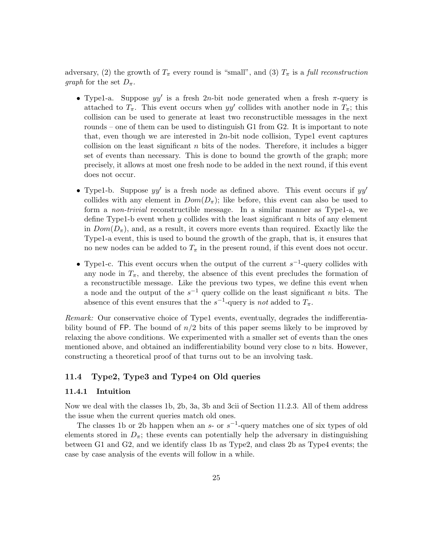adversary, (2) the growth of  $T_{\pi}$  every round is "small", and (3)  $T_{\pi}$  is a *full reconstruction graph* for the set  $D_\pi$ .

- *•* Type1-a. Suppose *yy′* is a fresh 2*n*-bit node generated when a fresh *π*-query is attached to  $T_{\pi}$ . This event occurs when  $yy'$  collides with another node in  $T_{\pi}$ ; this collision can be used to generate at least two reconstructible messages in the next rounds – one of them can be used to distinguish G1 from G2. It is important to note that, even though we are interested in 2*n*-bit node collision, Type1 event captures collision on the least significant *n* bits of the nodes. Therefore, it includes a bigger set of events than necessary. This is done to bound the growth of the graph; more precisely, it allows at most one fresh node to be added in the next round, if this event does not occur.
- *•* Type1-b. Suppose *yy′* is a fresh node as defined above. This event occurs if *yy′* collides with any element in  $Dom(D_{\pi})$ ; like before, this event can also be used to form a *non-trivial* reconstructible message. In a similar manner as Type1-a, we define Type1-b event when *y* collides with the least significant *n* bits of any element in  $Dom(D_{\pi})$ , and, as a result, it covers more events than required. Exactly like the Type1-a event, this is used to bound the growth of the graph, that is, it ensures that no new nodes can be added to  $T_{\pi}$  in the present round, if this event does not occur.
- *•* Type1-c. This event occurs when the output of the current *s −*1 -query collides with any node in  $T_{\pi}$ , and thereby, the absence of this event precludes the formation of a reconstructible message. Like the previous two types, we define this event when a node and the output of the *s <sup>−</sup>*<sup>1</sup> query collide on the least significant *n* bits. The absence of this event ensures that the  $s^{-1}$ -query is *not* added to  $T_{\pi}$ .

*Remark:* Our conservative choice of Type1 events, eventually, degrades the indifferentiability bound of FP. The bound of *n/*2 bits of this paper seems likely to be improved by relaxing the above conditions. We experimented with a smaller set of events than the ones mentioned above, and obtained an indifferentiability bound very close to *n* bits. However, constructing a theoretical proof of that turns out to be an involving task.

### **11.4 Type2, Type3 and Type4 on Old queries**

#### **11.4.1 Intuition**

Now we deal with the classes 1b, 2b, 3a, 3b and 3cii of Section 11.2.3. All of them address the issue when the current queries match old ones.

The classes 1b or 2b happen when an  $s$ - or  $s^{-1}$ -query matches one of six types of old elements stored in  $D_{\pi}$ ; these events can potentially help the adversary in distinguishing between G1 and G2, and we identify class 1b as Type2, and class 2b as Type4 events; the case by case analysis of the events will follow in a while.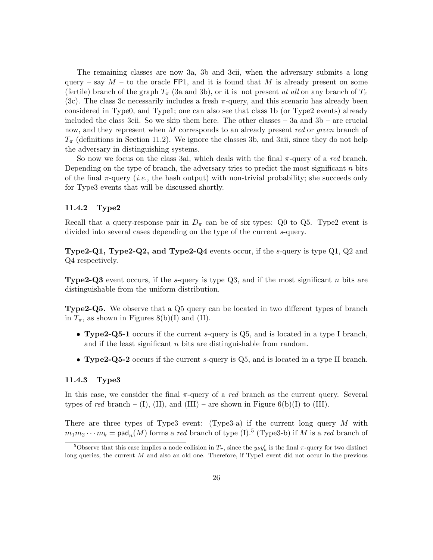The remaining classes are now 3a, 3b and 3cii, when the adversary submits a long query – say  $M$  – to the oracle FP1, and it is found that  $M$  is already present on some (fertile) branch of the graph  $T_{\pi}$  (3a and 3b), or it is not present *at all* on any branch of  $T_{\pi}$ (3c). The class 3c necessarily includes a fresh  $\pi$ -query, and this scenario has already been considered in Type0, and Type1; one can also see that class 1b (or Type2 events) already included the class 3cii. So we skip them here. The other classes – 3a and 3b – are crucial now, and they represent when *M* corresponds to an already present *red* or *green* branch of  $T_{\pi}$  (definitions in Section 11.2). We ignore the classes 3b, and 3aii, since they do not help the adversary in distinguishing systems.

So now we focus on the class 3ai, which deals with the final *π*-query of a *red* branch. Depending on the type of branch, the adversary tries to predict the most significant *n* bits of the final *π*-query (*i.e.,* the hash output) with non-trivial probability; she succeeds only for Type3 events that will be discussed shortly.

### **11.4.2 Type2**

Recall that a query-response pair in  $D_{\pi}$  can be of six types: Q0 to Q5. Type2 event is divided into several cases depending on the type of the current *s*-query.

**Type2-Q1, Type2-Q2, and Type2-Q4** events occur, if the *s*-query is type Q1, Q2 and Q4 respectively.

**Type2-Q3** event occurs, if the *s*-query is type Q3, and if the most significant *n* bits are distinguishable from the uniform distribution.

**Type2-Q5.** We observe that a Q5 query can be located in two different types of branch in  $T_{\pi}$ , as shown in Figures 8(b)(I) and (II).

- *•* **Type2-Q5-1** occurs if the current *s*-query is Q5, and is located in a type I branch, and if the least significant *n* bits are distinguishable from random.
- *•* **Type2-Q5-2** occurs if the current *s*-query is Q5, and is located in a type II branch.

#### **11.4.3 Type3**

In this case, we consider the final *π*-query of a *red* branch as the current query. Several types of *red* branch – (I), (II), and (III) – are shown in Figure 6(b)(I) to (III).

There are three types of Type3 event: (Type3-a) if the current long query *M* with  $m_1m_2\cdots m_k = \text{pad}_n(M)$  forms a *red* branch of type (I).<sup>5</sup> (Type3-b) if *M* is a *red* branch of

<sup>&</sup>lt;sup>5</sup>Observe that this case implies a node collision in  $T_{\pi}$ , since the  $y_k y'_k$  is the final  $\pi$ -query for two distinct long queries, the current *M* and also an old one. Therefore, if Type1 event did not occur in the previous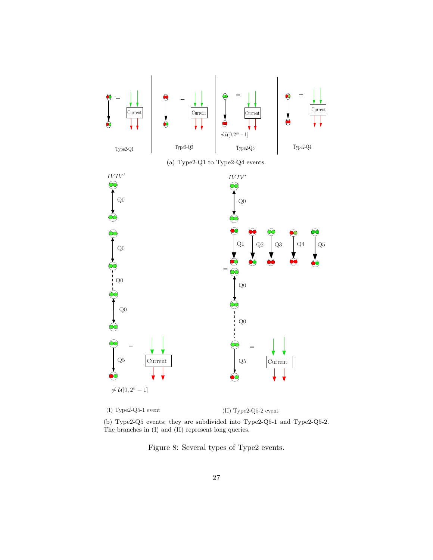

(b) Type2-Q5 events; they are subdivided into Type2-Q5-1 and Type2-Q5-2. The branches in (I) and (II) represent long queries.

Figure 8: Several types of Type2 events.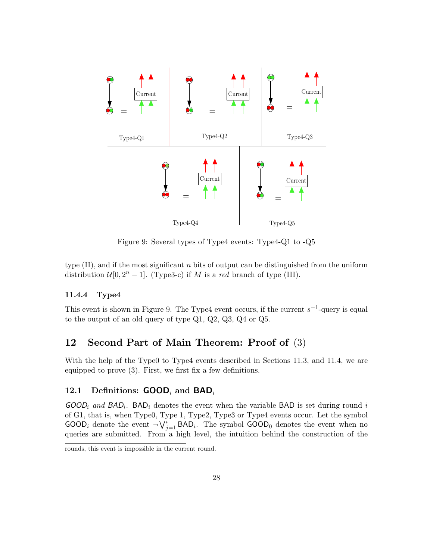

Figure 9: Several types of Type4 events: Type4-Q1 to -Q5

type (II), and if the most significant *n* bits of output can be distinguished from the uniform distribution  $\mathcal{U}[0, 2^n - 1]$ . (Type3-c) if *M* is a *red* branch of type (III).

### **11.4.4 Type4**

This event is shown in Figure 9. The Type4 event occurs, if the current *s −*1 -query is equal to the output of an old query of type Q1, Q2, Q3, Q4 or Q5.

### **12 Second Part of Main Theorem: Proof of** (3)

With the help of the Type0 to Type4 events described in Sections 11.3, and 11.4, we are equipped to prove (3). First, we first fix a few definitions.

### **12.1 Definitions: GOOD***<sup>i</sup>* **and BAD***<sup>i</sup>*

 $GOOD_i$  *and*  $BAD_i$ . BAD<sub>*i*</sub> denotes the event when the variable BAD is set during round *i* of G1, that is, when Type0, Type 1, Type2, Type3 or Type4 events occur. Let the symbol GOOD<sub>i</sub> denote the event  $\neg V_{j=1}^i$  BAD<sub>i</sub>. The symbol GOOD<sub>0</sub> denotes the event when no queries are submitted. From a high level, the intuition behind the construction of the

rounds, this event is impossible in the current round.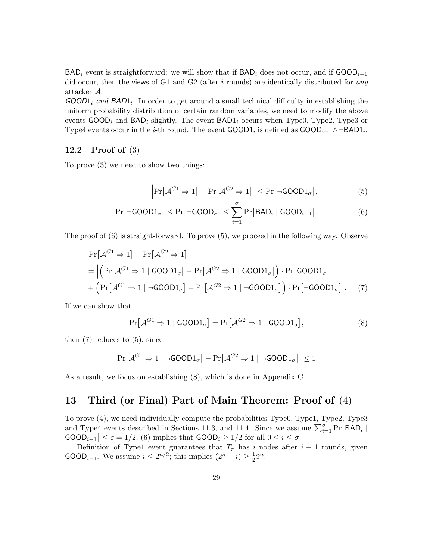BAD*<sup>i</sup>* event is straightforward: we will show that if BAD*<sup>i</sup>* does not occur, and if GOOD*i−*<sup>1</sup> did occur, then the views of G1 and G2 (after *i* rounds) are identically distributed for *any* attacker *A*.

*GOOD*1*<sup>i</sup> and BAD*1*i.* In order to get around a small technical difficulty in establishing the uniform probability distribution of certain random variables, we need to modify the above events GOOD*<sup>i</sup>* and BAD*<sup>i</sup>* slightly. The event BAD1*<sup>i</sup>* occurs when Type0, Type2, Type3 or Type4 events occur in the *i*-th round. The event  $\text{GOOD1}_i$  is defined as  $\text{GOOD}_{i-1} \wedge \neg \text{BAD1}_i$ .

### **12.2 Proof of** (3)

To prove (3) we need to show two things:

$$
\left|\Pr[\mathcal{A}^{G1} \Rightarrow 1] - \Pr[\mathcal{A}^{G2} \Rightarrow 1]\right| \le \Pr[\neg \text{GOOD1}_{\sigma}],\tag{5}
$$

$$
\Pr[\neg \text{GOOD1}_{\sigma}] \le \Pr[\neg \text{GOOD}_{\sigma}] \le \sum_{i=1}^{\sigma} \Pr[\text{BAD}_i \mid \text{GOOD}_{i-1}]. \tag{6}
$$

The proof of (6) is straight-forward. To prove (5), we proceed in the following way. Observe

$$
\begin{aligned}\n&\left|\Pr[\mathcal{A}^{G1} \Rightarrow 1] - \Pr[\mathcal{A}^{G2} \Rightarrow 1]\right| \\
&= \left|\left(\Pr[\mathcal{A}^{G1} \Rightarrow 1 \mid \text{GOOD1}_{\sigma}] - \Pr[\mathcal{A}^{G2} \Rightarrow 1 \mid \text{GOOD1}_{\sigma}]\right) \cdot \Pr[\text{GOOD1}_{\sigma}] \\
&+ \left(\Pr[\mathcal{A}^{G1} \Rightarrow 1 \mid \neg \text{GOOD1}_{\sigma}] - \Pr[\mathcal{A}^{G2} \Rightarrow 1 \mid \neg \text{GOOD1}_{\sigma}]\right) \cdot \Pr[\neg \text{GOOD1}_{\sigma}]\right|\n\end{aligned} \tag{7}
$$

If we can show that

$$
\Pr[\mathcal{A}^{G1} \Rightarrow 1 \mid \mathsf{GOOD1}_{\sigma}] = \Pr[\mathcal{A}^{G2} \Rightarrow 1 \mid \mathsf{GOOD1}_{\sigma}], \tag{8}
$$

then  $(7)$  reduces to  $(5)$ , since

$$
\left|\Pr\left[\mathcal{A}^{G1}\Rightarrow 1 \mid \neg \text{GOOD1}_{\sigma}\right] - \Pr\left[\mathcal{A}^{G2}\Rightarrow 1 \mid \neg \text{GOOD1}_{\sigma}\right]\right| \leq 1.
$$

As a result, we focus on establishing (8), which is done in Appendix C.

# **13 Third (or Final) Part of Main Theorem: Proof of** (4)

To prove (4), we need individually compute the probabilities Type0, Type1, Type2, Type3 and Type4 events described in Sections 11.3, and 11.4. Since we assume  $\sum_{i=1}^{\sigma} \Pr[BAD_i \mid$  $\mathsf{GOOD}_{i-1}$   $\leq \varepsilon = 1/2$ , (6) implies that  $\mathsf{GOOD}_i \geq 1/2$  for all  $0 \leq i \leq \sigma$ .

Definition of Type1 event guarantees that  $T_{\pi}$  has *i* nodes after *i* − 1 rounds, given GOOD<sub>*i*−1</sub>. We assume  $i \leq 2^{n/2}$ ; this implies  $(2^n - i) \geq \frac{1}{2}$  $\frac{1}{2}2^{n}$ .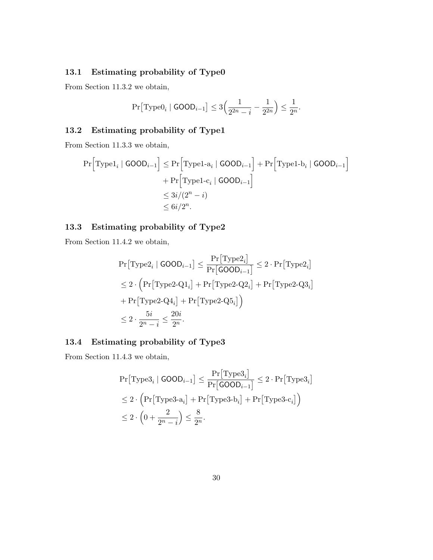# **13.1 Estimating probability of Type0**

From Section 11.3.2 we obtain,

$$
\Pr[\text{Type0}_i \mid \text{GOOD}_{i-1}] \le 3\Big(\frac{1}{2^{2n} - i} - \frac{1}{2^{2n}}\Big) \le \frac{1}{2^n}.
$$

# **13.2 Estimating probability of Type1**

From Section 11.3.3 we obtain,

$$
\Pr\Big[\text{Type1}_i \mid \text{GOOD}_{i-1}\Big] \leq \Pr\Big[\text{Type1-a}_i \mid \text{GOOD}_{i-1}\Big] + \Pr\Big[\text{Type1-b}_i \mid \text{GOOD}_{i-1}\Big] + \Pr\Big[\text{Type1-c}_i \mid \text{GOOD}_{i-1}\Big] \leq 3i/(2^n - i) \leq 6i/2^n.
$$

### **13.3 Estimating probability of Type2**

From Section 11.4.2 we obtain,

$$
\begin{aligned} &\Pr\bigl[\mathrm{Type2}_i \mid \mathrm{GOOD}_{i-1}\bigr] \leq \frac{\Pr\bigl[\mathrm{Type2}_i\bigr]}{\Pr\bigl[\mathrm{GOOD}_{i-1}\bigr]} \leq 2 \cdot \Pr\bigl[\mathrm{Type2}_i\bigr] \\ &\leq 2 \cdot \Bigl(\Pr\bigl[\mathrm{Type2\text{-}Q1}_i\bigr] + \Pr\bigl[\mathrm{Type2\text{-}Q2}_i\bigr] + \Pr\bigl[\mathrm{Type2\text{-}Q3}_i\bigr] \\ &+ \Pr\bigl[\mathrm{Type2\text{-}Q4}_i\bigr] + \Pr\bigl[\mathrm{Type2\text{-}Q5}_i\bigr]\Bigr) \\ &\leq 2 \cdot \frac{5i}{2^n - i} \leq \frac{20i}{2^n}. \end{aligned}
$$

### **13.4 Estimating probability of Type3**

From Section 11.4.3 we obtain,

$$
\Pr[\text{Type3}_i \mid \text{GOOD}_{i-1}] \le \frac{\Pr[\text{Type3}_i]}{\Pr[\text{GOOD}_{i-1}]} \le 2 \cdot \Pr[\text{Type3}_i]
$$
  

$$
\le 2 \cdot \left(\Pr[\text{Type3-a}_i] + \Pr[\text{Type3-b}_i] + \Pr[\text{Type3-c}_i]\right)
$$
  

$$
\le 2 \cdot \left(0 + \frac{2}{2^n - i}\right) \le \frac{8}{2^n}.
$$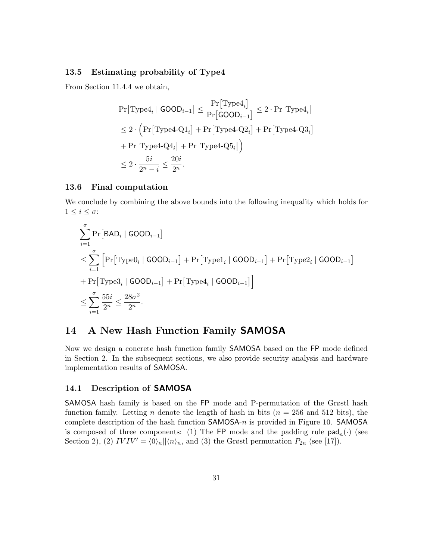### **13.5 Estimating probability of Type4**

From Section 11.4.4 we obtain,

$$
\begin{aligned} &\Pr\bigl[\mathrm{Type4}_i \mid \mathrm{GOOD}_{i-1}\bigr] \leq \frac{\Pr\bigl[\mathrm{Type4}_i\bigr]}{\Pr\bigl[\mathrm{GOOD}_{i-1}\bigr]} \leq 2\cdot\Pr\bigl[\mathrm{Type4}_i\bigr] \\ &\leq 2\cdot\Bigl(\Pr\bigl[\mathrm{Type4\text{-}Q1}_i\bigr] + \Pr\bigl[\mathrm{Type4\text{-}Q2}_i\bigr] + \Pr\bigl[\mathrm{Type4\text{-}Q3}_i\bigr] \\ &+ \Pr\bigl[\mathrm{Type4\text{-}Q4}_i\bigr] + \Pr\bigl[\mathrm{Type4\text{-}Q5}_i\bigr]\Bigr) \\ &\leq 2\cdot\frac{5i}{2^n-i} \leq \frac{20i}{2^n}. \end{aligned}
$$

### **13.6 Final computation**

We conclude by combining the above bounds into the following inequality which holds for  $1 ≤ i ≤ σ:$ 

$$
\sum_{i=1}^{\sigma} \Pr[\mathsf{BAD}_i \mid \mathsf{GOOD}_{i-1}]
$$
\n
$$
\leq \sum_{i=1}^{\sigma} \left[ \Pr[\text{Type0}_i \mid \mathsf{GOOD}_{i-1}] + \Pr[\text{Type1}_i \mid \mathsf{GOOD}_{i-1}] + \Pr[\text{Type2}_i \mid \mathsf{GOOD}_{i-1}] \right]
$$
\n
$$
+ \Pr[\text{Type3}_i \mid \mathsf{GOOD}_{i-1}] + \Pr[\text{Type4}_i \mid \mathsf{GOOD}_{i-1}] \right]
$$
\n
$$
\leq \sum_{i=1}^{\sigma} \frac{55i}{2^n} \leq \frac{28\sigma^2}{2^n}.
$$

### **14 A New Hash Function Family SAMOSA**

Now we design a concrete hash function family SAMOSA based on the FP mode defined in Section 2. In the subsequent sections, we also provide security analysis and hardware implementation results of SAMOSA.

### **14.1 Description of SAMOSA**

SAMOSA hash family is based on the FP mode and P-permutation of the Grøstl hash function family. Letting *n* denote the length of hash in bits ( $n = 256$  and 512 bits), the complete description of the hash function SAMOSA-*n* is provided in Figure 10. SAMOSA is composed of three components: (1) The FP mode and the padding rule  $\text{pad}_n(\cdot)$  (see Section 2), (2)  $IVIV' = \langle 0 \rangle_n || \langle n \rangle_n$ , and (3) the Grøstl permutation  $P_{2n}$  (see [17]).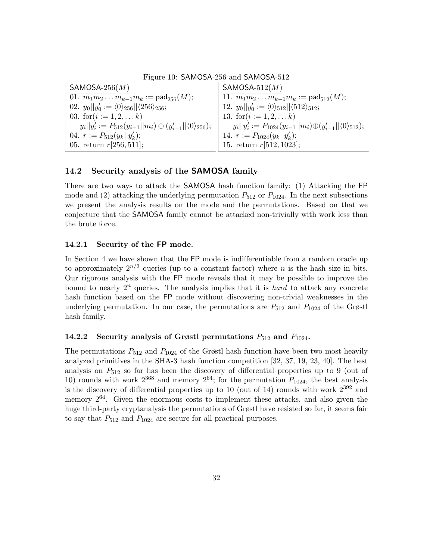| $SAMOSA-256(M)$                                                                  | $SAMOSA-512(M)$                                                                   |
|----------------------------------------------------------------------------------|-----------------------------------------------------------------------------------|
| 01. $m_1m_2m_{k-1}m_k := \text{pad}_{256}(M);$                                   | 11. $m_1m_2m_{k-1}m_k := \text{pad}_{512}(M);$                                    |
| 02. $y_0  y'_0 := \langle 0 \rangle_{256}   \langle 256 \rangle_{256};$          | 12. $y_0  y'_0 := \langle 0 \rangle_{512}   \langle 512 \rangle_{512};$           |
| 03. for $(i := 1, 2, \ldots k)$                                                  | 13. for $(i := 1, 2, \ldots k)$                                                   |
| $y_i  y'_i := P_{512}(y_{i-1}  m_i) \oplus (y'_{i-1}  \langle 0 \rangle_{256});$ | $y_i  y'_i := P_{1024}(y_{i-1}  m_i) \oplus (y'_{i-1}  \langle 0 \rangle_{512});$ |
| 04. $r := P_{512}(y_k  y'_k);$                                                   |                                                                                   |
| 05. return $r[256, 511]$ ;                                                       | 14. $r := P_{1024}(y_k  y'_k);$<br>15. return $r[512, 1023];$                     |
|                                                                                  |                                                                                   |

Figure 10: SAMOSA-256 and SAMOSA-512

### **14.2 Security analysis of the SAMOSA family**

There are two ways to attack the SAMOSA hash function family: (1) Attacking the FP mode and (2) attacking the underlying permutation  $P_{512}$  or  $P_{1024}$ . In the next subsections we present the analysis results on the mode and the permutations. Based on that we conjecture that the SAMOSA family cannot be attacked non-trivially with work less than the brute force.

### **14.2.1 Security of the FP mode.**

In Section 4 we have shown that the FP mode is indifferentiable from a random oracle up to approximately  $2^{n/2}$  queries (up to a constant factor) where *n* is the hash size in bits. Our rigorous analysis with the FP mode reveals that it may be possible to improve the bound to nearly 2*<sup>n</sup>* queries. The analysis implies that it is *hard* to attack any concrete hash function based on the FP mode without discovering non-trivial weaknesses in the underlying permutation. In our case, the permutations are  $P_{512}$  and  $P_{1024}$  of the Grøstl hash family.

### **14.2.2 Security analysis of Grøstl permutations**  $P_{512}$  **and**  $P_{1024}$ **.**

The permutations  $P_{512}$  and  $P_{1024}$  of the Grøstl hash function have been two most heavily analyzed primitives in the SHA-3 hash function competition [32, 37, 19, 23, 40]. The best analysis on  $P_{512}$  so far has been the discovery of differential properties up to 9 (out of 10) rounds with work  $2^{368}$  and memory  $2^{64}$ ; for the permutation  $P_{1024}$ , the best analysis is the discovery of differential properties up to 10 (out of 14) rounds with work  $2^{392}$  and memory  $2^{64}$ . Given the enormous costs to implement these attacks, and also given the huge third-party cryptanalysis the permutations of Grøstl have resisted so far, it seems fair to say that  $P_{512}$  and  $P_{1024}$  are secure for all practical purposes.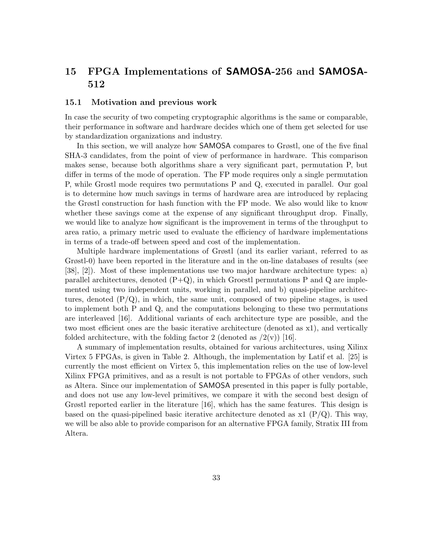# **15 FPGA Implementations of SAMOSA-256 and SAMOSA-512**

### **15.1 Motivation and previous work**

In case the security of two competing cryptographic algorithms is the same or comparable, their performance in software and hardware decides which one of them get selected for use by standardization organizations and industry.

In this section, we will analyze how SAMOSA compares to Grøstl, one of the five final SHA-3 candidates, from the point of view of performance in hardware. This comparison makes sense, because both algorithms share a very significant part, permutation P, but differ in terms of the mode of operation. The FP mode requires only a single permutation P, while Grostl mode requires two permutations P and Q, executed in parallel. Our goal is to determine how much savings in terms of hardware area are introduced by replacing the Grøstl construction for hash function with the FP mode. We also would like to know whether these savings come at the expense of any significant throughput drop. Finally, we would like to analyze how significant is the improvement in terms of the throughput to area ratio, a primary metric used to evaluate the efficiency of hardware implementations in terms of a trade-off between speed and cost of the implementation.

Multiple hardware implementations of Grøstl (and its earlier variant, referred to as Grøstl-0) have been reported in the literature and in the on-line databases of results (see [38], [2]). Most of these implementations use two major hardware architecture types: a) parallel architectures, denoted  $(P+Q)$ , in which Groestl permutations P and Q are implemented using two independent units, working in parallel, and b) quasi-pipeline architectures, denoted  $(P/Q)$ , in which, the same unit, composed of two pipeline stages, is used to implement both P and Q, and the computations belonging to these two permutations are interleaved [16]. Additional variants of each architecture type are possible, and the two most efficient ones are the basic iterative architecture (denoted as x1), and vertically folded architecture, with the folding factor 2 (denoted as  $/2(v)$ ) [16].

A summary of implementation results, obtained for various architectures, using Xilinx Virtex 5 FPGAs, is given in Table 2. Although, the implementation by Latif et al. [25] is currently the most efficient on Virtex 5, this implementation relies on the use of low-level Xilinx FPGA primitives, and as a result is not portable to FPGAs of other vendors, such as Altera. Since our implementation of SAMOSA presented in this paper is fully portable, and does not use any low-level primitives, we compare it with the second best design of Grøstl reported earlier in the literature [16], which has the same features. This design is based on the quasi-pipelined basic iterative architecture denoted as  $x1 \text{ (P/Q)}$ . This way, we will be also able to provide comparison for an alternative FPGA family, Stratix III from Altera.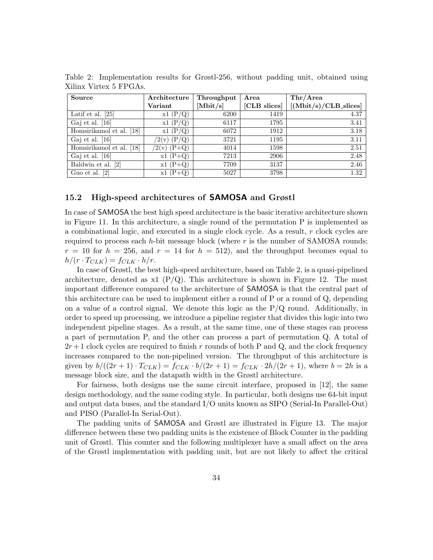| <b>Source</b>            | Architecture        | Throughput | Area         | Thr/Area                |
|--------------------------|---------------------|------------|--------------|-------------------------|
|                          | Variant             | [Mbit/s]   | [CLB slices] | $[(Mbit/s)/CLB_slices]$ |
| Latif et al. $[25]$      | (P/Q)<br>x1         | 6200       | 1419         | 4.37                    |
| Gaj et al. $[16]$        | x1(P/Q)             | 6117       | 1795         | 3.41                    |
| Homsirikamol et al. [18] | (P/Q)<br>x1(        | 6072       | 1912         | $3.18\,$                |
| Gaj et al. $[16]$        | $(\rm P/Q)$<br>2(v) | 3721       | 1195         | 3.11                    |
| Homsirikamol et al. [18] | $(2(v)$ (P+Q)       | 4014       | 1598         | 2.51                    |
| Gaj et al. $[16]$        | $x1(P+Q)$           | 7213       | 2906         | 2.48                    |
| Baldwin et al. [2]       | $x1(P+Q)$           | 7709       | 3137         | 2.46                    |
| Guo et al. [2]           | $x1(P+Q)$           | 5027       | 3798         | 1.32                    |

Table 2: Implementation results for Grøstl-256, without padding unit, obtained using Xilinx Virtex 5 FPGAs.

### **15.2 High-speed architectures of SAMOSA and Grøstl**

In case of SAMOSA the best high speed architecture is the basic iterative architecture shown in Figure 11. In this architecture, a single round of the permutation P is implemented as a combinational logic, and executed in a single clock cycle. As a result, *r* clock cycles are required to process each *h*-bit message block (where *r* is the number of SAMOSA rounds;  $r = 10$  for  $h = 256$ , and  $r = 14$  for  $h = 512$ ), and the throughput becomes equal to  $h/(r \cdot T_{CLK}) = f_{CLK} \cdot h/r.$ 

In case of Grøstl, the best high-speed architecture, based on Table 2, is a quasi-pipelined architecture, denoted as  $x1$  (P/Q). This architecture is shown in Figure 12. The most important difference compared to the architecture of SAMOSA is that the central part of this architecture can be used to implement either a round of P or a round of Q, depending on a value of a control signal. We denote this logic as the  $P/Q$  round. Additionally, in order to speed up processing, we introduce a pipeline register that divides this logic into two independent pipeline stages. As a result, at the same time, one of these stages can process a part of permutation P, and the other can process a part of permutation Q. A total of  $2r+1$  clock cycles are required to finish r rounds of both P and Q, and the clock frequency increases compared to the non-pipelined version. The throughput of this architecture is given by  $b/((2r+1) \cdot T_{CLK}) = f_{CLK} \cdot b/(2r+1) = f_{CLK} \cdot 2h/(2r+1)$ , where  $b = 2h$  is a message block size, and the datapath width in the Grøstl architecture.

For fairness, both designs use the same circuit interface, proposed in [12], the same design methodology, and the same coding style. In particular, both designs use 64-bit input and output data buses, and the standard I/O units known as SIPO (Serial-In Parallel-Out) and PISO (Parallel-In Serial-Out).

The padding units of SAMOSA and Grøstl are illustrated in Figure 13. The major difference between these two padding units is the existence of Block Counter in the padding unit of Grøstl. This counter and the following multiplexer have a small affect on the area of the Grøstl implementation with padding unit, but are not likely to affect the critical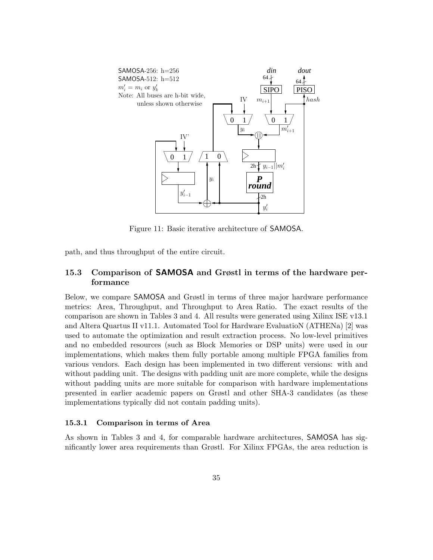

Figure 11: Basic iterative architecture of SAMOSA.

path, and thus throughput of the entire circuit.

### **15.3 Comparison of SAMOSA and Grøstl in terms of the hardware performance**

Below, we compare SAMOSA and Grøstl in terms of three major hardware performance metrics: Area, Throughput, and Throughput to Area Ratio. The exact results of the comparison are shown in Tables 3 and 4. All results were generated using Xilinx ISE v13.1 and Altera Quartus II v11.1. Automated Tool for Hardware EvaluatioN (ATHENa) [2] was used to automate the optimization and result extraction process. No low-level primitives and no embedded resources (such as Block Memories or DSP units) were used in our implementations, which makes them fully portable among multiple FPGA families from various vendors. Each design has been implemented in two different versions: with and without padding unit. The designs with padding unit are more complete, while the designs without padding units are more suitable for comparison with hardware implementations presented in earlier academic papers on Grøstl and other SHA-3 candidates (as these implementations typically did not contain padding units).

#### **15.3.1 Comparison in terms of Area**

As shown in Tables 3 and 4, for comparable hardware architectures, SAMOSA has significantly lower area requirements than Grøstl. For Xilinx FPGAs, the area reduction is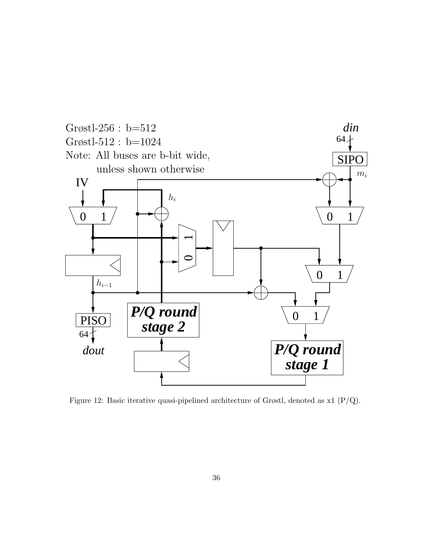

Figure 12: Basic iterative quasi-pipelined architecture of Grøstl, denoted as x1 (P/Q).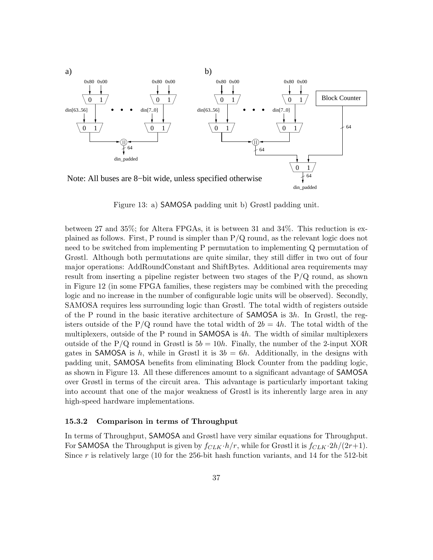

Figure 13: a) SAMOSA padding unit b) Grøstl padding unit.

between 27 and 35%; for Altera FPGAs, it is between 31 and 34%. This reduction is explained as follows. First, P round is simpler than P/Q round, as the relevant logic does not need to be switched from implementing P permutation to implementing Q permutation of Grøstl. Although both permutations are quite similar, they still differ in two out of four major operations: AddRoundConstant and ShiftBytes. Additional area requirements may result from inserting a pipeline register between two stages of the  $P/Q$  round, as shown in Figure 12 (in some FPGA families, these registers may be combined with the preceding logic and no increase in the number of configurable logic units will be observed). Secondly, SAMOSA requires less surrounding logic than Grøstl. The total width of registers outside of the P round in the basic iterative architecture of SAMOSA is 3*h*. In Grøstl, the registers outside of the  $P/Q$  round have the total width of  $2b = 4h$ . The total width of the multiplexers, outside of the P round in SAMOSA is 4*h*. The width of similar multiplexers outside of the P/Q round in Grøstl is  $5b = 10h$ . Finally, the number of the 2-input XOR gates in SAMOSA is  $h$ , while in Grøstl it is  $3b = 6h$ . Additionally, in the designs with padding unit, SAMOSA benefits from eliminating Block Counter from the padding logic, as shown in Figure 13. All these differences amount to a significant advantage of SAMOSA over Grøstl in terms of the circuit area. This advantage is particularly important taking into account that one of the major weakness of Grøstl is its inherently large area in any high-speed hardware implementations.

#### **15.3.2 Comparison in terms of Throughput**

In terms of Throughput, SAMOSA and Grøstl have very similar equations for Throughput. For SAMOSA the Throughput is given by  $f_{CLK} \cdot h/r$ , while for Grøstl it is  $f_{CLK} \cdot 2h/(2r+1)$ . Since *r* is relatively large (10 for the 256-bit hash function variants, and 14 for the 512-bit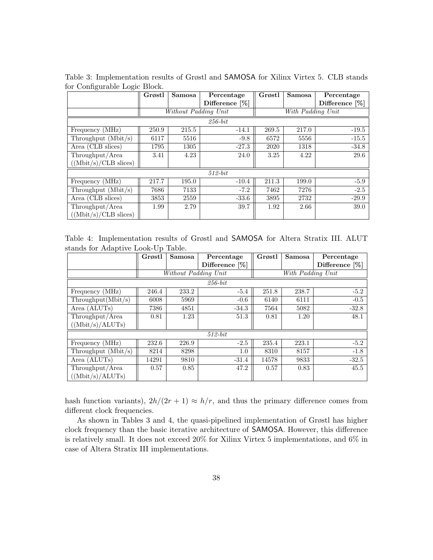|                                       | Grøstl | Samosa               | Percentage     | Grøstl | Samosa            | Percentage     |
|---------------------------------------|--------|----------------------|----------------|--------|-------------------|----------------|
|                                       |        |                      | Difference [%] |        |                   | Difference [%] |
|                                       |        | Without Padding Unit |                |        | With Padding Unit |                |
|                                       |        |                      | $256$ -bit     |        |                   |                |
| Frequency (MHz)                       | 250.9  | 215.5                | $-14.1$        | 269.5  | 217.0             | $-19.5$        |
| Throughput $(Mbit/s)$                 | 6117   | 5516                 | $-9.8$         | 6572   | 5556              | $-15.5$        |
| $\overline{\text{Area (CLB slices)}}$ | 1795   | 1305                 | $-27.3$        | 2020   | 1318              | $-34.8$        |
| Throughput/Area                       | 3.41   | 4.23                 | 24.0           | 3.25   | 4.22              | 29.6           |
| $(Mbit/s)/CLB$ slices)                |        |                      |                |        |                   |                |
|                                       |        |                      | $512$ -bit     |        |                   |                |
| Frequency (MHz)                       | 217.7  | 195.0                | $-10.4$        | 211.3  | 199.0             | $-5.9$         |
| Throughput $(Mbit/s)$                 | 7686   | 7133                 | $-7.2$         | 7462   | 7276              | $-2.5$         |
| Area (CLB slices)                     | 3853   | 2559                 | $-33.6$        | 3895   | 2732              | $-29.9$        |
| Throughput/Area                       | 1.99   | 2.79                 | 39.7           | 1.92   | 2.66              | 39.0           |
| $((Mbit/s)/CLB$ slices)               |        |                      |                |        |                   |                |

Table 3: Implementation results of Grøstl and SAMOSA for Xilinx Virtex 5. CLB stands for Configurable Logic Block.

Table 4: Implementation results of Grøstl and SAMOSA for Altera Stratix III. ALUT stands for Adaptive Look-Up Table.

|                                  | Grøstl<br>Samosa<br>Percentage |                      | Grøstl            | <b>Samosa</b> | Percentage        |                   |
|----------------------------------|--------------------------------|----------------------|-------------------|---------------|-------------------|-------------------|
|                                  |                                |                      | Difference $[\%]$ |               |                   | Difference $[\%]$ |
|                                  |                                | Without Padding Unit |                   |               | With Padding Unit |                   |
|                                  |                                |                      | $256$ -bit        |               |                   |                   |
| Frequency (MHz)                  | 246.4                          | 233.2                | $-5.4$            | 251.8         | 238.7             | $-5.2$            |
| Throughout(Mbit/s)               | 6008                           | 5969                 | $-0.6$            | 6140          | 6111              | $-0.5$            |
| Area (ALUTs)                     | 7386                           | 4851                 | $-34.3$           | 7564          | 5082              | $-32.8$           |
| Throughput/Area                  | 0.81                           | 1.23                 | 51.3              | 0.81          | 1.20              | 48.1              |
| $((\text{Mbit/s})/\text{ALUTs})$ |                                |                      |                   |               |                   |                   |
|                                  |                                |                      | $512$ -bit        |               |                   |                   |
| Frequency (MHz)                  | 232.6                          | 226.9                | $-2.5$            | 235.4         | 223.1             | $-5.2$            |
| Throughput $(Mbit/s)$            | 8214                           | 8298                 | 1.0               | 8310          | 8157              | $-1.8$            |
| Area (ALUTs)                     | 14291                          | 9810                 | $-31.4$           | 14578         | 9833              | $-32.5$           |
| Throughput/Area                  | 0.57                           | 0.85                 | 47.2              | 0.57          | 0.83              | 45.5              |
| ((Mbit/s)/ALUTs)                 |                                |                      |                   |               |                   |                   |

hash function variants),  $2h/(2r + 1) \approx h/r$ , and thus the primary difference comes from different clock frequencies.

As shown in Tables 3 and 4, the quasi-pipelined implementation of Grøstl has higher clock frequency than the basic iterative architecture of SAMOSA. However, this difference is relatively small. It does not exceed 20% for Xilinx Virtex 5 implementations, and 6% in case of Altera Stratix III implementations.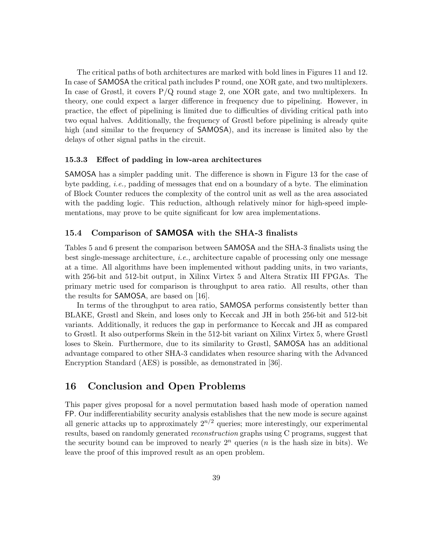The critical paths of both architectures are marked with bold lines in Figures 11 and 12. In case of SAMOSA the critical path includes P round, one XOR gate, and two multiplexers. In case of Grøstl, it covers  $P/Q$  round stage 2, one XOR gate, and two multiplexers. In theory, one could expect a larger difference in frequency due to pipelining. However, in practice, the effect of pipelining is limited due to difficulties of dividing critical path into two equal halves. Additionally, the frequency of Grøstl before pipelining is already quite high (and similar to the frequency of **SAMOSA**), and its increase is limited also by the delays of other signal paths in the circuit.

#### **15.3.3 Effect of padding in low-area architectures**

SAMOSA has a simpler padding unit. The difference is shown in Figure 13 for the case of byte padding, *i.e.,* padding of messages that end on a boundary of a byte. The elimination of Block Counter reduces the complexity of the control unit as well as the area associated with the padding logic. This reduction, although relatively minor for high-speed implementations, may prove to be quite significant for low area implementations.

### **15.4 Comparison of SAMOSA with the SHA-3 finalists**

Tables 5 and 6 present the comparison between SAMOSA and the SHA-3 finalists using the best single-message architecture, *i.e.,* architecture capable of processing only one message at a time. All algorithms have been implemented without padding units, in two variants, with 256-bit and 512-bit output, in Xilinx Virtex 5 and Altera Stratix III FPGAs. The primary metric used for comparison is throughput to area ratio. All results, other than the results for SAMOSA, are based on [16].

In terms of the throughput to area ratio, SAMOSA performs consistently better than BLAKE, Grøstl and Skein, and loses only to Keccak and JH in both 256-bit and 512-bit variants. Additionally, it reduces the gap in performance to Keccak and JH as compared to Grøstl. It also outperforms Skein in the 512-bit variant on Xilinx Virtex 5, where Grøstl loses to Skein. Furthermore, due to its similarity to Grøstl, SAMOSA has an additional advantage compared to other SHA-3 candidates when resource sharing with the Advanced Encryption Standard (AES) is possible, as demonstrated in [36].

# **16 Conclusion and Open Problems**

This paper gives proposal for a novel permutation based hash mode of operation named FP. Our indifferentiability security analysis establishes that the new mode is secure against all generic attacks up to approximately  $2^{n/2}$  queries; more interestingly, our experimental results, based on randomly generated *reconstruction* graphs using C programs, suggest that the security bound can be improved to nearly  $2^n$  queries (*n* is the hash size in bits). We leave the proof of this improved result as an open problem.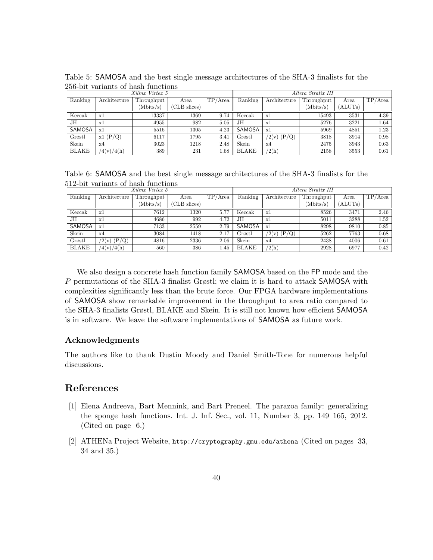|              |              | Xilinx Virtex 5 |              |         |              | Altera Stratix III |            |         |         |
|--------------|--------------|-----------------|--------------|---------|--------------|--------------------|------------|---------|---------|
| Ranking      | Architecture | Throughput      | Area         | TP/Area | Ranking      | Architecture       | Throughput | Area    | TP/Area |
|              |              | (Mbits/s)       | (CLB slices) |         |              |                    | (Mbits/s)  | (ALUTs) |         |
| Keccak       | x1           | 13337           | 1369         | 9.74    | Keccak       | x1                 | 15493      | 3531    | 4.39    |
| JH           | x1           | 4955            | 982          | 5.05    | JН           | x1                 | 5276       | 3221    | 1.64    |
| SAMOSA       | x1           | 5516            | 1305         | 4.23    | SAMOSA       | x1                 | 5969       | 4851    | 1.23    |
| Grøstl       | x1(P/Q)      | 6117            | 1795         | 3.41    | Grøstl       | (2(v) (P/Q))       | 3818       | 3914    | 0.98    |
| Skein        | x4           | 3023            | 1218         | 2.48    | Skein        | x4                 | 2475       | 3943    | 0.63    |
| <b>BLAKE</b> | (4(v)/4(h))  | 389             | 231          | 1.68    | <b>BLAKE</b> | $\sqrt{2(h)}$      | 2158       | 3553    | 0.61    |

Table 5: SAMOSA and the best single message architectures of the SHA-3 finalists for the 256-bit variants of hash functions

Table 6: SAMOSA and the best single message architectures of the SHA-3 finalists for the 512-bit variants of hash functions

|              |              | Xilinx Virtex 5 |              |         |              | Altera Stratix III |            |         |            |
|--------------|--------------|-----------------|--------------|---------|--------------|--------------------|------------|---------|------------|
| Ranking      | Architecture | Throughput      | Area         | TP/Area | Ranking      | Architecture       | Throughput | Area    | $TP/A$ rea |
|              |              | (Mbits/s)       | (CLB slices) |         |              |                    | (Mbits/s)  | (ALUTs) |            |
| Keccak       | x1           | 7612            | 1320         | 5.77    | Keccak       | x1                 | 8526       | 3471    | 2.46       |
| JН           | x1           | 4686            | 992          | 4.72    | JН           | x1                 | 5011       | 3288    | 1.52       |
| SAMOSA       | x1           | 7133            | 2559         | 2.79    | SAMOSA       | x1                 | 8298       | 9810    | 0.85       |
| Skein        | x4           | 3084            | 1418         | 2.17    | Grøstl       | $/2(v)$ (P/Q)      | 5262       | 7763    | 0.68       |
| Grøstl       | (2(v) (P/Q)) | 4816            | 2336         | 2.06    | Skein        | x4                 | 2438       | 4006    | 0.61       |
| <b>BLAKE</b> | (4(v)/4(h))  | 560             | 386          | 1.45    | <b>BLAKE</b> | $\sqrt{2(h)}$      | 2928       | 6977    | 0.42       |

We also design a concrete hash function family SAMOSA based on the FP mode and the *P* permutations of the SHA-3 finalist Grøstl; we claim it is hard to attack SAMOSA with complexities significantly less than the brute force. Our FPGA hardware implementations of SAMOSA show remarkable improvement in the throughput to area ratio compared to the SHA-3 finalists Grøstl, BLAKE and Skein. It is still not known how efficient SAMOSA is in software. We leave the software implementations of SAMOSA as future work.

### **Acknowledgments**

The authors like to thank Dustin Moody and Daniel Smith-Tone for numerous helpful discussions.

### **References**

- [1] Elena Andreeva, Bart Mennink, and Bart Preneel. The parazoa family: generalizing the sponge hash functions. Int. J. Inf. Sec., vol. 11, Number 3, pp. 149–165, 2012. (Cited on page 6.)
- [2] ATHENa Project Website, http://cryptography.gmu.edu/athena (Cited on pages 33, 34 and 35.)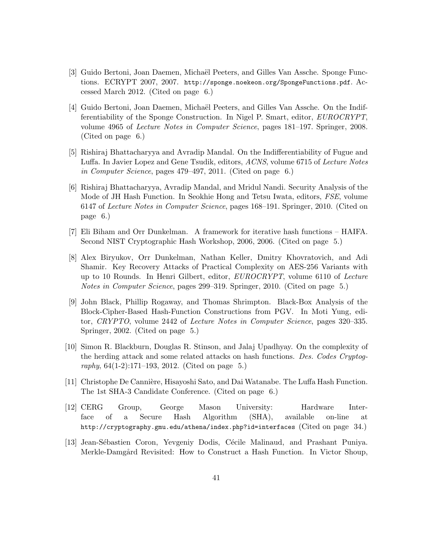- [3] Guido Bertoni, Joan Daemen, Michaël Peeters, and Gilles Van Assche. Sponge Functions. ECRYPT 2007, 2007. http://sponge.noekeon.org/SpongeFunctions.pdf. Accessed March 2012. (Cited on page 6.)
- [4] Guido Bertoni, Joan Daemen, Michaël Peeters, and Gilles Van Assche. On the Indifferentiability of the Sponge Construction. In Nigel P. Smart, editor, *EUROCRYPT*, volume 4965 of *Lecture Notes in Computer Science*, pages 181–197. Springer, 2008. (Cited on page 6.)
- [5] Rishiraj Bhattacharyya and Avradip Mandal. On the Indifferentiability of Fugue and Luffa. In Javier Lopez and Gene Tsudik, editors, *ACNS*, volume 6715 of *Lecture Notes in Computer Science*, pages 479–497, 2011. (Cited on page 6.)
- [6] Rishiraj Bhattacharyya, Avradip Mandal, and Mridul Nandi. Security Analysis of the Mode of JH Hash Function. In Seokhie Hong and Tetsu Iwata, editors, *FSE*, volume 6147 of *Lecture Notes in Computer Science*, pages 168–191. Springer, 2010. (Cited on page 6.)
- [7] Eli Biham and Orr Dunkelman. A framework for iterative hash functions HAIFA. Second NIST Cryptographic Hash Workshop, 2006, 2006. (Cited on page 5.)
- [8] Alex Biryukov, Orr Dunkelman, Nathan Keller, Dmitry Khovratovich, and Adi Shamir. Key Recovery Attacks of Practical Complexity on AES-256 Variants with up to 10 Rounds. In Henri Gilbert, editor, *EUROCRYPT*, volume 6110 of *Lecture Notes in Computer Science*, pages 299–319. Springer, 2010. (Cited on page 5.)
- [9] John Black, Phillip Rogaway, and Thomas Shrimpton. Black-Box Analysis of the Block-Cipher-Based Hash-Function Constructions from PGV. In Moti Yung, editor, *CRYPTO*, volume 2442 of *Lecture Notes in Computer Science*, pages 320–335. Springer, 2002. (Cited on page 5.)
- [10] Simon R. Blackburn, Douglas R. Stinson, and Jalaj Upadhyay. On the complexity of the herding attack and some related attacks on hash functions. *Des. Codes Cryptography*, 64(1-2):171–193, 2012. (Cited on page 5.)
- [11] Christophe De Cannière, Hisayoshi Sato, and Dai Watanabe. The Luffa Hash Function. The 1st SHA-3 Candidate Conference. (Cited on page 6.)
- [12] CERG Group, George Mason University: Hardware Interface of a Secure Hash Algorithm (SHA), available on-line at http://cryptography.gmu.edu/athena/index.php?id=interfaces (Cited on page 34.)
- [13] Jean-Sébastien Coron, Yevgeniy Dodis, Cécile Malinaud, and Prashant Puniya. Merkle-Damgård Revisited: How to Construct a Hash Function. In Victor Shoup,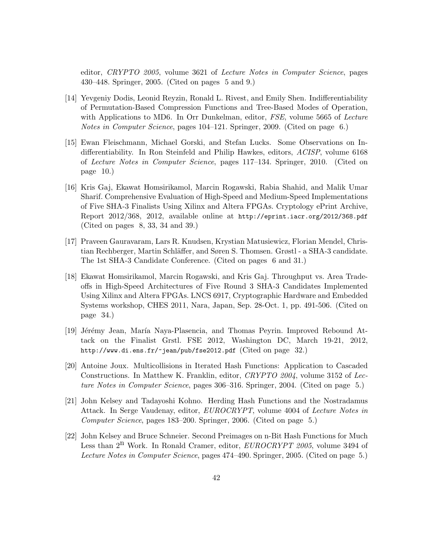editor, *CRYPTO 2005*, volume 3621 of *Lecture Notes in Computer Science*, pages 430–448. Springer, 2005. (Cited on pages 5 and 9.)

- [14] Yevgeniy Dodis, Leonid Reyzin, Ronald L. Rivest, and Emily Shen. Indifferentiability of Permutation-Based Compression Functions and Tree-Based Modes of Operation, with Applications to MD6. In Orr Dunkelman, editor, *FSE*, volume 5665 of *Lecture Notes in Computer Science*, pages 104–121. Springer, 2009. (Cited on page 6.)
- [15] Ewan Fleischmann, Michael Gorski, and Stefan Lucks. Some Observations on Indifferentiability. In Ron Steinfeld and Philip Hawkes, editors, *ACISP*, volume 6168 of *Lecture Notes in Computer Science*, pages 117–134. Springer, 2010. (Cited on page 10.)
- [16] Kris Gaj, Ekawat Homsirikamol, Marcin Rogawski, Rabia Shahid, and Malik Umar Sharif. Comprehensive Evaluation of High-Speed and Medium-Speed Implementations of Five SHA-3 Finalists Using Xilinx and Altera FPGAs. Cryptology ePrint Archive, Report 2012/368, 2012, available online at http://eprint.iacr.org/2012/368.pdf (Cited on pages 8, 33, 34 and 39.)
- [17] Praveen Gauravaram, Lars R. Knudsen, Krystian Matusiewicz, Florian Mendel, Christian Rechberger, Martin Schläffer, and Søren S. Thomsen. Grøstl - a SHA-3 candidate. The 1st SHA-3 Candidate Conference. (Cited on pages 6 and 31.)
- [18] Ekawat Homsirikamol, Marcin Rogawski, and Kris Gaj. Throughput vs. Area Tradeoffs in High-Speed Architectures of Five Round 3 SHA-3 Candidates Implemented Using Xilinx and Altera FPGAs. LNCS 6917, Cryptographic Hardware and Embedded Systems workshop, CHES 2011, Nara, Japan, Sep. 28-Oct. 1, pp. 491-506. (Cited on page 34.)
- [19] Jérémy Jean, María Naya-Plasencia, and Thomas Peyrin. Improved Rebound Attack on the Finalist Grstl. FSE 2012, Washington DC, March 19-21, 2012, http://www.di.ens.fr/~jean/pub/fse2012.pdf (Cited on page 32.)
- [20] Antoine Joux. Multicollisions in Iterated Hash Functions: Application to Cascaded Constructions. In Matthew K. Franklin, editor, *CRYPTO 2004*, volume 3152 of *Lecture Notes in Computer Science*, pages 306–316. Springer, 2004. (Cited on page 5.)
- [21] John Kelsey and Tadayoshi Kohno. Herding Hash Functions and the Nostradamus Attack. In Serge Vaudenay, editor, *EUROCRYPT*, volume 4004 of *Lecture Notes in Computer Science*, pages 183–200. Springer, 2006. (Cited on page 5.)
- [22] John Kelsey and Bruce Schneier. Second Preimages on n-Bit Hash Functions for Much Less than  $2^{n}$  Work. In Ronald Cramer, editor, *EUROCRYPT 2005*, volume 3494 of *Lecture Notes in Computer Science*, pages 474–490. Springer, 2005. (Cited on page 5.)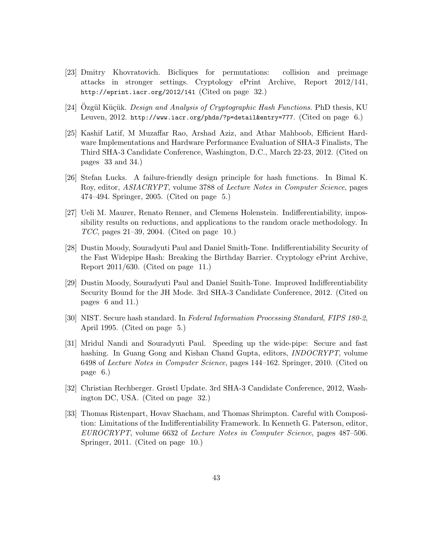- [23] Dmitry Khovratovich. Bicliques for permutations: collision and preimage attacks in stronger settings. Cryptology ePrint Archive, Report 2012/141, http://eprint.iacr.org/2012/141 (Cited on page 32.)
- [24] Ozgül Küçük. *Design and Analysis of Cryptographic Hash Functions*. PhD thesis, KU Leuven, 2012. http://www.iacr.org/phds/?p=detail&entry=777. (Cited on page 6.)
- [25] Kashif Latif, M Muzaffar Rao, Arshad Aziz, and Athar Mahboob, Efficient Hardware Implementations and Hardware Performance Evaluation of SHA-3 Finalists, The Third SHA-3 Candidate Conference, Washington, D.C., March 22-23, 2012. (Cited on pages 33 and 34.)
- [26] Stefan Lucks. A failure-friendly design principle for hash functions. In Bimal K. Roy, editor, *ASIACRYPT*, volume 3788 of *Lecture Notes in Computer Science*, pages 474–494. Springer, 2005. (Cited on page 5.)
- [27] Ueli M. Maurer, Renato Renner, and Clemens Holenstein. Indifferentiability, impossibility results on reductions, and applications to the random oracle methodology. In *TCC*, pages 21–39, 2004. (Cited on page 10.)
- [28] Dustin Moody, Souradyuti Paul and Daniel Smith-Tone. Indifferentiability Security of the Fast Widepipe Hash: Breaking the Birthday Barrier. Cryptology ePrint Archive, Report 2011/630. (Cited on page 11.)
- [29] Dustin Moody, Souradyuti Paul and Daniel Smith-Tone. Improved Indifferentiability Security Bound for the JH Mode. 3rd SHA-3 Candidate Conference, 2012. (Cited on pages 6 and 11.)
- [30] NIST. Secure hash standard. In *Federal Information Processing Standard, FIPS 180-2*, April 1995. (Cited on page 5.)
- [31] Mridul Nandi and Souradyuti Paul. Speeding up the wide-pipe: Secure and fast hashing. In Guang Gong and Kishan Chand Gupta, editors, *INDOCRYPT*, volume 6498 of *Lecture Notes in Computer Science*, pages 144–162. Springer, 2010. (Cited on page 6.)
- [32] Christian Rechberger. Grøstl Update. 3rd SHA-3 Candidate Conference, 2012, Washington DC, USA. (Cited on page 32.)
- [33] Thomas Ristenpart, Hovav Shacham, and Thomas Shrimpton. Careful with Composition: Limitations of the Indifferentiability Framework. In Kenneth G. Paterson, editor, *EUROCRYPT*, volume 6632 of *Lecture Notes in Computer Science*, pages 487–506. Springer, 2011. (Cited on page 10.)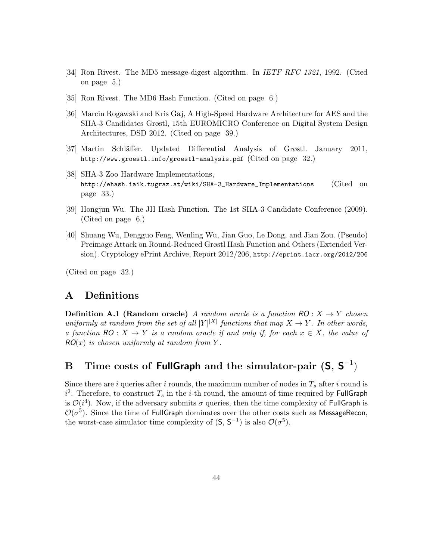- [34] Ron Rivest. The MD5 message-digest algorithm. In *IETF RFC 1321*, 1992. (Cited on page 5.)
- [35] Ron Rivest. The MD6 Hash Function. (Cited on page 6.)
- [36] Marcin Rogawski and Kris Gaj, A High-Speed Hardware Architecture for AES and the SHA-3 Candidates Grøstl, 15th EUROMICRO Conference on Digital System Design Architectures, DSD 2012. (Cited on page 39.)
- [37] Martin Schl¨affer. Updated Differential Analysis of Grøstl. January 2011, http://www.groestl.info/groestl-analysis.pdf (Cited on page 32.)
- [38] SHA-3 Zoo Hardware Implementations, http://ehash.iaik.tugraz.at/wiki/SHA-3\_Hardware\_Implementations (Cited on page 33.)
- [39] Hongjun Wu. The JH Hash Function. The 1st SHA-3 Candidate Conference (2009). (Cited on page 6.)
- [40] Shuang Wu, Dengguo Feng, Wenling Wu, Jian Guo, Le Dong, and Jian Zou. (Pseudo) Preimage Attack on Round-Reduced Grøstl Hash Function and Others (Extended Version). Cryptology ePrint Archive, Report 2012/206, http://eprint.iacr.org/2012/206

(Cited on page 32.)

# **A Definitions**

**Definition A.1 (Random oracle)** *A random oracle is a function*  $RO: X \rightarrow Y$  *chosen uniformly at random from the set of all*  $|Y|^{|X|}$  *functions that map*  $X \to Y$ *. In other words, a function*  $RO: X \rightarrow Y$  *is a random oracle if and only if, for each*  $x \in X$ *, the value of*  $RO(x)$  *is chosen uniformly at random from*  $Y$ .

# **B Time costs of FullGraph and the simulator-pair (S, S** *−*1 )

Since there are  $i$  queries after  $i$  rounds, the maximum number of nodes in  $T_s$  after  $i$  round is  $i^2$ . Therefore, to construct  $T_s$  in the *i*-th round, the amount of time required by FullGraph is  $\mathcal{O}(i^4)$ . Now, if the adversary submits  $\sigma$  queries, then the time complexity of FullGraph is  $\mathcal{O}(\sigma^5)$ . Since the time of FullGraph dominates over the other costs such as MessageRecon, the worst-case simulator time complexity of  $(S, S^{-1})$  is also  $\mathcal{O}(\sigma^5)$ .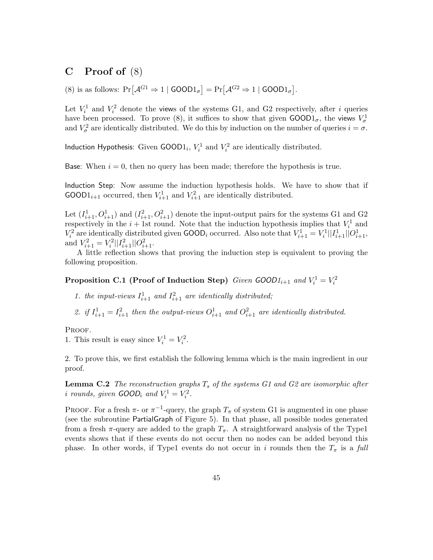# **C Proof of** (8)

(8) is as follows:  $Pr[\mathcal{A}^{G1} \Rightarrow 1 | GOOD1_{\sigma}] = Pr[\mathcal{A}^{G2} \Rightarrow 1 | GOOD1_{\sigma}].$ 

Let  $V_i^1$  and  $V_i^2$  denote the views of the systems G1, and G2 respectively, after *i* queries have been processed. To prove (8), it suffices to show that given  $\text{GOOD1}_{\sigma}$ , the views  $V^1_{\sigma}$ and  $V^2_\sigma$  are identically distributed. We do this by induction on the number of queries  $i = \sigma$ .

Induction Hypothesis: Given  $\text{GOOD1}_i$ ,  $V_i^1$  and  $V_i^2$  are identically distributed.

Base: When  $i = 0$ , then no query has been made; therefore the hypothesis is true.

Induction Step: Now assume the induction hypothesis holds. We have to show that if GOOD1<sub>*i*+1</sub> occurred, then  $V_{i+1}^1$  and  $V_{i+1}^2$  are identically distributed.

Let  $(I_{i+1}^1, O_{i+1}^1)$  and  $(I_{i+1}^2, O_{i+1}^2)$  denote the input-output pairs for the systems G1 and G2 respectively in the  $i + 1$ st round. Note that the induction hypothesis implies that  $V_i^1$  and  $V_i^2$  are identically distributed given GOOD<sub>*i*</sub> occurred. Also note that  $V_{i+1}^1 = V_i^1||I_{i+1}^1||O_{i+1}^1$ , and  $V_{i+1}^2 = V_i^2 ||I_{i+1}^2||O_{i+1}^2$ .

A little reflection shows that proving the induction step is equivalent to proving the following proposition.

# **Proposition C.1 (Proof of Induction Step)** *Given GOOD* $1_{i+1}$  *and*  $V_i^1 = V_i^2$

1. the input-views  $I_{i+1}^1$  and  $I_{i+1}^2$  are identically distributed;

2. *if*  $I_{i+1}^1 = I_{i+1}^2$  *then the output-views*  $O_{i+1}^1$  *and*  $O_{i+1}^2$  *are identically distributed.* 

PROOF.

1. This result is easy since  $V_i^1 = V_i^2$ .

2. To prove this, we first establish the following lemma which is the main ingredient in our proof.

**Lemma C.2** *The reconstruction graphs T<sup>s</sup> of the systems G1 and G2 are isomorphic after i* rounds, given  $GOOD_i$  and  $V_i^1 = V_i^2$ .

PROOF. For a fresh  $\pi$ - or  $\pi$ <sup>-1</sup>-query, the graph  $T_{\pi}$  of system G1 is augmented in one phase (see the subroutine PartialGraph of Figure 5). In that phase, all possible nodes generated from a fresh  $\pi$ -query are added to the graph  $T_{\pi}$ . A straightforward analysis of the Type1 events shows that if these events do not occur then no nodes can be added beyond this phase. In other words, if Type1 events do not occur in *i* rounds then the  $T_{\pi}$  is a *full*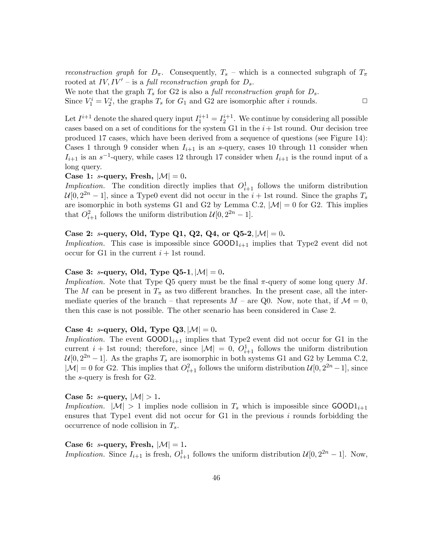*reconstruction graph* for  $D_{\pi}$ . Consequently,  $T_s$  – which is a connected subgraph of  $T_{\pi}$ rooted at  $IV, IV'$  – is a *full reconstruction graph* for  $D_s$ .

We note that the graph  $T_s$  for G2 is also a *full reconstruction graph* for  $D_s$ .

Since  $V_1^i = V_2^i$ , the graphs  $T_s$  for  $G_1$  and G2 are isomorphic after *i* rounds.  $\Box$ 

Let  $I^{i+1}$  denote the shared query input  $I_1^{i+1} = I_2^{i+1}$ . We continue by considering all possible cases based on a set of conditions for the system G1 in the  $i+1$ st round. Our decision tree produced 17 cases, which have been derived from a sequence of questions (see Figure 14): Cases 1 through 9 consider when  $I_{i+1}$  is an *s*-query, cases 10 through 11 consider when  $I_{i+1}$  is an  $s^{-1}$ -query, while cases 12 through 17 consider when  $I_{i+1}$  is the round input of a long query.

#### **Case 1:** *s***-query, Fresh,**  $|\mathcal{M}| = 0$ .

*Implication*. The condition directly implies that  $O_{i+1}^1$  follows the uniform distribution  $U[0, 2^{2n} - 1]$ , since a Type0 event did not occur in the *i* + 1st round. Since the graphs  $T_s$ are isomorphic in both systems G1 and G2 by Lemma C.2,  $|\mathcal{M}| = 0$  for G2. This implies that  $O_{i+1}^2$  follows the uniform distribution  $\mathcal{U}[0, 2^{2n} - 1]$ .

### **Case 2:** *s***-query, Old, Type Q1, Q2, Q4, or Q5-2***,*  $|M| = 0$ **.**

*Implication.* This case is impossible since  $\text{GOOD1}_{i+1}$  implies that Type2 event did not occur for G1 in the current  $i + 1$ st round.

### **Case 3:** *s***-query, Old, Type Q5-1***,*  $|M| = 0$ **.**

*Implication.* Note that Type Q5 query must be the final *π*-query of some long query *M*. The *M* can be present in  $T_{\pi}$  as two different branches. In the present case, all the intermediate queries of the branch – that represents  $M$  – are Q0. Now, note that, if  $\mathcal{M} = 0$ , then this case is not possible. The other scenario has been considered in Case 2.

#### **Case 4:** *s***-query, Old, Type Q3***,*  $|M| = 0$ **.**

*Implication.* The event  $\text{GOOD1}_{i+1}$  implies that Type2 event did not occur for G1 in the current  $i + 1$ st round; therefore, since  $|\mathcal{M}| = 0$ ,  $O_{i+1}^1$  follows the uniform distribution  $\mathcal{U}[0, 2^{2n} - 1]$ . As the graphs  $T_s$  are isomorphic in both systems G1 and G2 by Lemma C.2,  $|\mathcal{M}| = 0$  for G2. This implies that  $O_{i+1}^2$  follows the uniform distribution  $\mathcal{U}[0, 2^{2n} - 1]$ , since the *s*-query is fresh for G2.

#### **Case 5:** *s***-query,**  $|M| > 1$ .

*Implication.*  $|M| > 1$  implies node collision in  $T_s$  which is impossible since GOOD1<sub>*i*+1</sub> ensures that Type1 event did not occur for  $G1$  in the previous  $i$  rounds forbidding the occurrence of node collision in *Ts*.

**Case 6:** *s***-query, Fresh,**  $|M| = 1$ . *Implication.* Since  $I_{i+1}$  is fresh,  $O_{i+1}^1$  follows the uniform distribution  $\mathcal{U}[0, 2^{2n} - 1]$ . Now,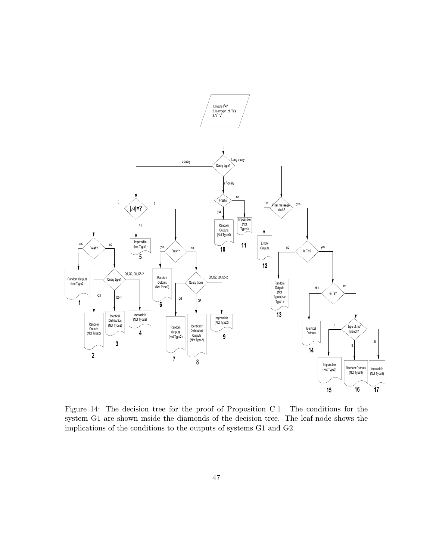

Figure 14: The decision tree for the proof of Proposition C.1. The conditions for the system G1 are shown inside the diamonds of the decision tree. The leaf-node shows the implications of the conditions to the outputs of systems G1 and G2.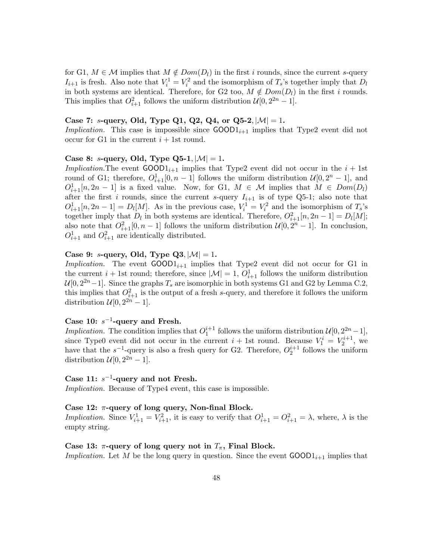for G1,  $M \in \mathcal{M}$  implies that  $M \notin Dom(D_l)$  in the first *i* rounds, since the current *s*-query  $I_{i+1}$  is fresh. Also note that  $V_i^1 = V_i^2$  and the isomorphism of  $T_s$ 's together imply that  $D_l$ in both systems are identical. Therefore, for G2 too,  $M \notin Dom(D_l)$  in the first *i* rounds. This implies that  $O_{i+1}^2$  follows the uniform distribution  $\mathcal{U}[0, 2^{2n} - 1]$ .

### Case 7: *s***-query, Old, Type Q1, Q2, Q4, or Q5-2***,*  $|M| = 1$ **.**

*Implication.* This case is impossible since  $\text{GOOD1}_{i+1}$  implies that Type2 event did not occur for G1 in the current  $i + 1$ st round.

#### **Case 8:** *s***-query, Old, Type Q5-1***,*  $|M| = 1$ **.**

*Implication.* The event  $GOOD1_{i+1}$  implies that Type2 event did not occur in the  $i + 1$ st round of G1; therefore,  $O_{i+1}^1[0, n-1]$  follows the uniform distribution  $\mathcal{U}[0, 2^n - 1]$ , and  $O_{i+1}^1[n, 2n-1]$  is a fixed value. Now, for G1,  $M \in \mathcal{M}$  implies that  $M \in Dom(D_l)$ after the first *i* rounds, since the current *s*-query  $I_{i+1}$  is of type Q5-1; also note that  $O_{i+1}^1[n, 2n-1] = D_l[M]$ . As in the previous case,  $V_i^1 = V_i^2$  and the isomorphism of  $T_s$ 's together imply that  $D_l$  in both systems are identical. Therefore,  $O_{i+1}^2[n, 2n-1] = D_l[M]$ ; also note that  $O_{i+1}^2[0, n-1]$  follows the uniform distribution  $\mathcal{U}[0, 2^n-1]$ . In conclusion,  $O_{i+1}^1$  and  $O_{i+1}^2$  are identically distributed.

### **Case 9:** *s***-query, Old, Type Q3***,*  $|M| = 1$ **.**

*Implication.* The event  $GOOD1_{i+1}$  implies that Type2 event did not occur for G1 in the current  $i + 1$ st round; therefore, since  $|\mathcal{M}| = 1$ ,  $O_{i+1}^1$  follows the uniform distribution  $U[0, 2^{2n}-1]$ . Since the graphs  $T_s$  are isomorphic in both systems G1 and G2 by Lemma C.2, this implies that  $O_{i+1}^2$  is the output of a fresh *s*-query, and therefore it follows the uniform distribution  $\mathcal{U}[0, 2^{2n} - 1]$ .

### **Case 10:** *s −*1 **-query and Fresh.**

*Implication*. The condition implies that  $O_1^{i+1}$  follows the uniform distribution  $\mathcal{U}[0, 2^{2n}-1]$ , since Type0 event did not occur in the current  $i + 1$ st round. Because  $V_1^i = V_2^{i+1}$ , we have that the  $s^{-1}$ -query is also a fresh query for G2. Therefore,  $O_2^{i+1}$  follows the uniform distribution  $\mathcal{U}[0, 2^{2n} - 1]$ .

### **Case 11:** *s −*1 **-query and not Fresh.**

*Implication.* Because of Type4 event, this case is impossible.

#### **Case 12:** *π***-query of long query, Non-final Block.**

*Implication.* Since  $V_{i+1}^1 = V_{i+1}^2$ , it is easy to verify that  $O_{i+1}^1 = O_{i+1}^2 = \lambda$ , where,  $\lambda$  is the empty string.

#### Case 13:  $\pi$ -query of long query not in  $T_{\pi}$ , Final Block.

*Implication.* Let *M* be the long query in question. Since the event  $\text{GOOD1}_{i+1}$  implies that